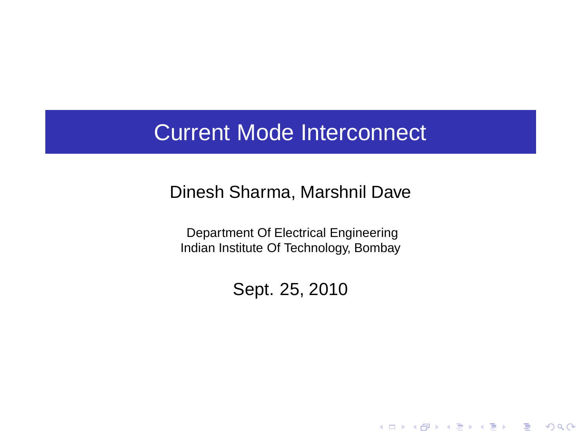#### Current Mode Interconnect

#### Dinesh Sharma, Marshnil Dave

Department Of Electrical Engineering Indian Institute Of Technology, Bombay

Sept. 25, 2010

K ロ > K 個 > K ミ > K ミ > 三 ミー の Q Q →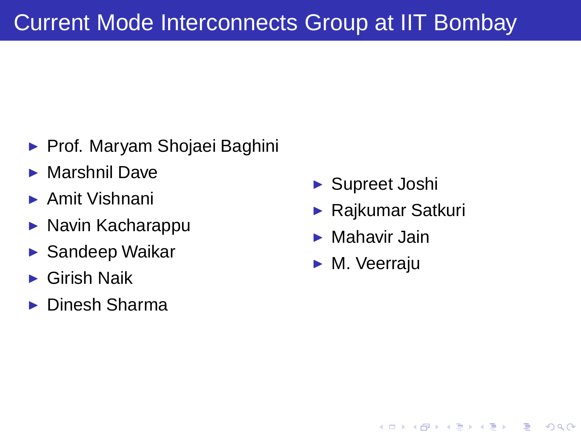- ► Prof. Maryam Shojaei Baghini
- ► Marshnil Dave
- ► Amit Vishnani
- $\blacktriangleright$  Navin Kacharappu
- ► Sandeep Waikar
- $\blacktriangleright$  Girish Naik
- ► Dinesh Sharma
- ► Supreet Joshi
- ◮ Rajkumar Satkuri

**KORK ERKERKERKERKER** 

- ▶ Mahavir Jain
- ► M. Veerraju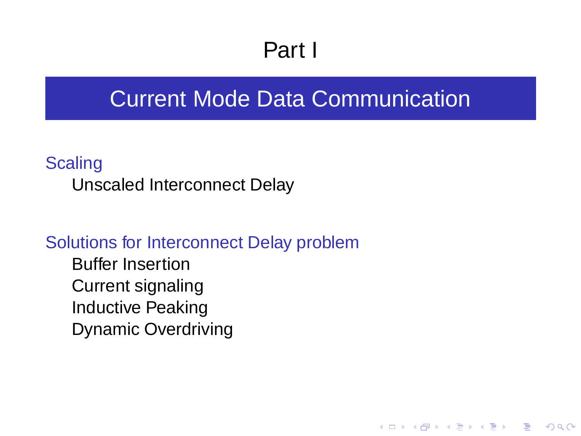## Part I

### [Current Mode Data Communication](#page-2-0)

**KORK ERKERKERKERKER** 

#### **[Scaling](#page-3-0)** [Unscaled Interconnect Delay](#page-7-0)

#### <span id="page-2-0"></span>[Solutions for Interconnect Delay problem](#page-9-0)

[Buffer Insertion](#page-9-0) [Current signaling](#page-15-0) [Inductive Peaking](#page-23-0) [Dynamic Overdriving](#page-31-0)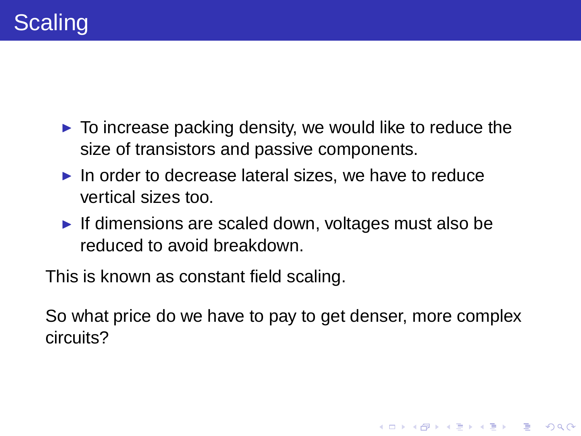- $\triangleright$  To increase packing density, we would like to reduce the size of transistors and passive components.
- $\blacktriangleright$  In order to decrease lateral sizes, we have to reduce vertical sizes too.
- ► If dimensions are scaled down, voltages must also be reduced to avoid breakdown.

This is known as constant field scaling.

<span id="page-3-0"></span>So what price do we have to pay to get denser, more complex circuits?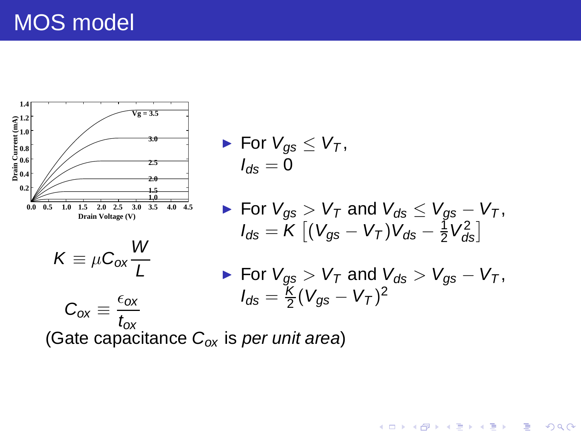

- ► For  $V_{gs} \leq V_T$ ,  $I_{ds} = 0$
- ► For  $V_{gs} > V_T$  and  $V_{ds} \leq V_{gs} V_T$ ,  $I_{ds} = K [(V_{gs} - V_T) V_{ds} - \frac{1}{2}]$  $\frac{1}{2}V_{ds}^2$

• For 
$$
V_{gs} > V_T
$$
 and  $V_{ds} > V_{gs} - V_T$ ,  
\n
$$
I_{ds} = \frac{K}{2}(V_{gs} - V_T)^2
$$

**KORK ERKERKERKERKER** 

(Gate capacitance  $C_{ox}$  is per unit area)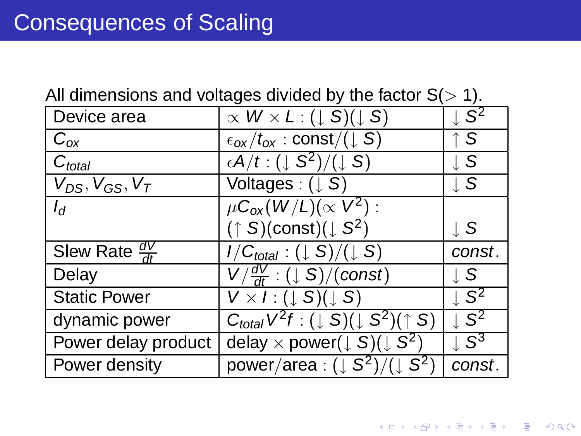| All dimensions and voltages divided by the factor $S(>1)$ . |  |  |  |  |  |
|-------------------------------------------------------------|--|--|--|--|--|
|-------------------------------------------------------------|--|--|--|--|--|

| Device area                 | $\propto W \times L$ : ( $\downarrow$ S)( $\downarrow$ S)            | $\mathcal{S}^2$        |
|-----------------------------|----------------------------------------------------------------------|------------------------|
| $C_{ox}$                    | $\epsilon_{ox}/t_{ox}$ : const/( $\downarrow$ S)                     | S                      |
| $C_{total}$                 | $\epsilon A/t$ : $\sqrt{(\sqrt{S^2})/(\sqrt{S})}$                    | ⊥ S                    |
| $V_{DS}$ , $V_{GS}$ , $V_T$ | Voltages : $(1 S)$                                                   | ↓S                     |
| $I_d$                       | $\mu C_{\rm ox}(W/L)(\propto V^2)$ :                                 |                        |
|                             | $($ $\uparrow$ S)(const)( $\downarrow$ S <sup>2</sup> )              | l S                    |
| Slew Rate $\frac{dV}{dt}$   | $I/C_{total}$ : $( \downarrow S)/(\downarrow S)$                     | const.                 |
| Delay                       | $V/\frac{dV}{dt}$ : ( $\downarrow$ S)/(const)                        | ⊥ S                    |
| <b>Static Power</b>         | $V \times I : (\downarrow S)(\downarrow S)$                          | $\perp$ S <sup>2</sup> |
| dynamic power               | $C_{total}V^2f: (\downarrow S)(\downarrow S^2)(\uparrow S)$          | $\sqrt{S^2}$           |
| Power delay product         | delay $\times$ power( $\downarrow$ S)( $\downarrow$ S <sup>2</sup> ) | $\sqrt{S^3}$           |
| Power density               | power/area : $(1 S^2)/(1)$                                           | const.                 |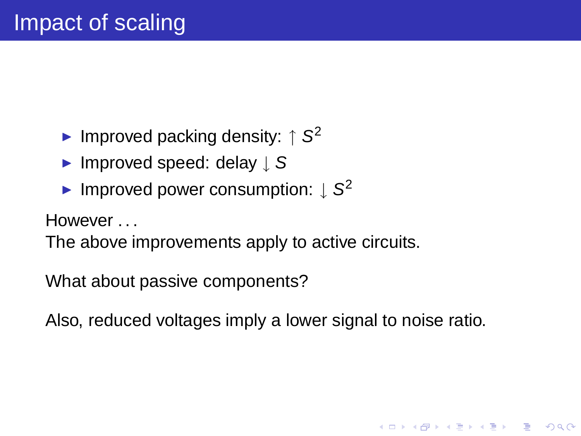- Improved packing density:  $\uparrow S^2$
- ► Improved speed: delay  $\downarrow$  S
- Improved power consumption:  $\downarrow S^2$

However ...

The above improvements apply to active circuits.

What about passive components?

Also, reduced voltages imply a lower signal to noise ratio.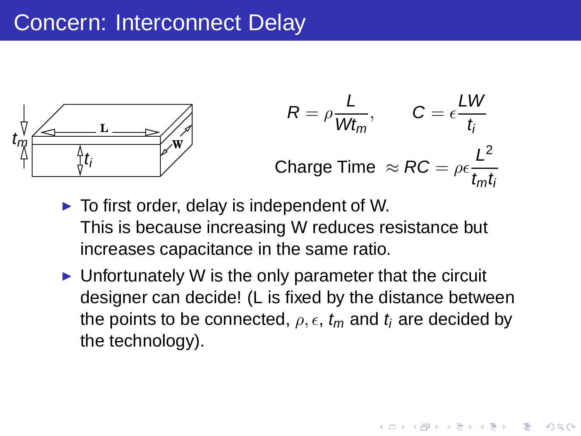### Concern: Interconnect Delay



$$
R = \rho \frac{L}{Wt_m}, \qquad C = \epsilon \frac{LW}{t_i}
$$
  
Change Time  $\approx RC = \rho \epsilon \frac{L^2}{t_m t_i}$ 

- $\triangleright$  To first order, delay is independent of W. This is because increasing W reduces resistance but increases capacitance in the same ratio.
- <span id="page-7-0"></span> $\triangleright$  Unfortunately W is the only parameter that the circuit designer can decide! (L is fixed by the distance between the points to be connected,  $\rho$ ,  $\epsilon$ ,  $t_m$  and  $t_i$  are decided by the technology).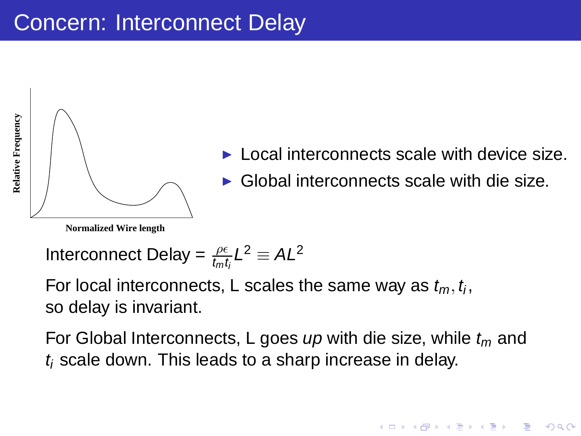

**Normalized Wire length**

 $\blacktriangleright$  Local interconnects scale with device size. ◮ Global interconnects scale with die size.

Interconnect Delay = 
$$
\frac{\rho \epsilon}{t_m t_i} L^2 \equiv A L^2
$$

For local interconnects, L scales the same way as  $t_m, t_i$ , so delay is invariant.

<span id="page-8-0"></span>For Global Interconnects, L goes up with die size, while  $t_m$  and  $t_i$  scale down. This leads to a sharp increase in delay.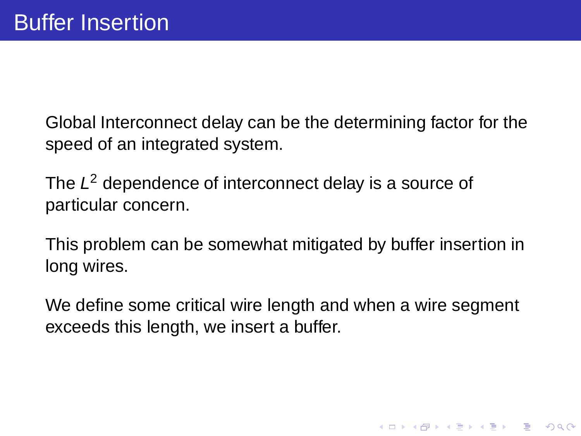Global Interconnect delay can be the determining factor for the speed of an integrated system.

The  $L^2$  dependence of interconnect delay is a source of particular concern.

This problem can be somewhat mitigated by buffer insertion in long wires.

<span id="page-9-0"></span>We define some critical wire length and when a wire segment exceeds this length, we insert a buffer.

K ロ X x 4 B X X B X X B X 2 X 2 O Q Q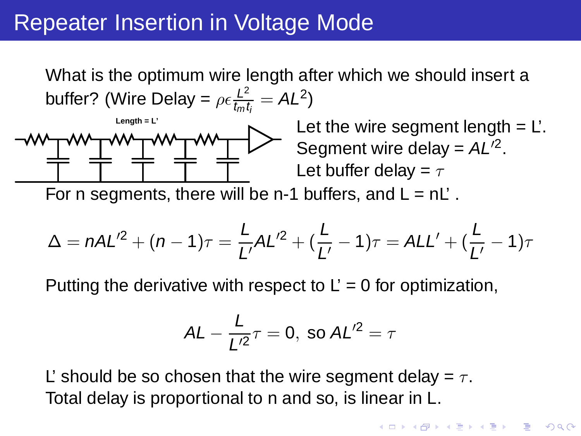#### Repeater Insertion in Voltage Mode

What is the optimum wire length after which we should insert a buffer? (Wire Delay =  $\rho \epsilon \frac{L^2}{t m l}$  $\frac{L^2}{t_m t_i} = A L^2$ 



 $L_{\text{length}} = L'$  Let the wire segment length  $= L'$ . Segment wire delay =  $AL^2$ . Let buffer delay =  $\tau$ 

For n segments, there will be n-1 buffers, and  $L = nL'$ .

$$
\Delta = nAL'^2 + (n-1)\tau = \frac{L}{L'}AL'^2 + (\frac{L}{L'}-1)\tau = ALL' + (\frac{L}{L'}-1)\tau
$$

Putting the derivative with respect to  $L' = 0$  for optimization,

$$
AL - \frac{L}{L'^2}\tau = 0, \text{ so } AL'^2 = \tau
$$

L' should be so chosen that the wire segment delay =  $\tau$ . Total delay is proportional to n and so, is linear in L.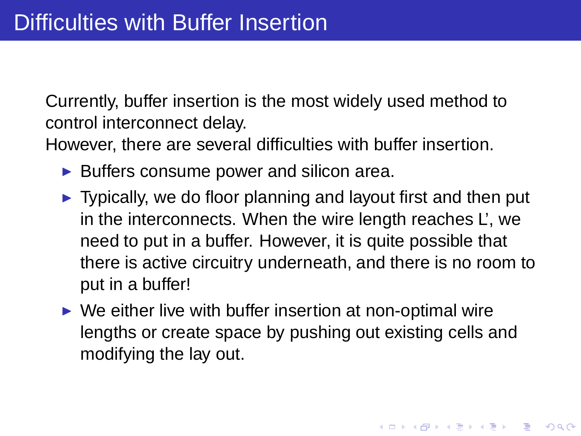Currently, buffer insertion is the most widely used method to control interconnect delay.

However, there are several difficulties with buffer insertion.

- $\triangleright$  Buffers consume power and silicon area.
- $\triangleright$  Typically, we do floor planning and layout first and then put in the interconnects. When the wire length reaches L', we need to put in a buffer. However, it is quite possible that there is active circuitry underneath, and there is no room to put in a buffer!
- $\triangleright$  We either live with buffer insertion at non-optimal wire lengths or create space by pushing out existing cells and modifying the lay out.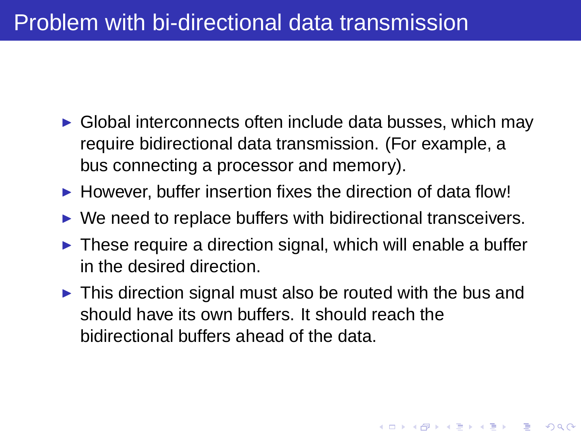- $\triangleright$  Global interconnects often include data busses, which may require bidirectional data transmission. (For example, a bus connecting a processor and memory).
- $\blacktriangleright$  However, buffer insertion fixes the direction of data flow!
- $\triangleright$  We need to replace buffers with bidirectional transceivers.
- $\triangleright$  These require a direction signal, which will enable a buffer in the desired direction.
- $\triangleright$  This direction signal must also be routed with the bus and should have its own buffers. It should reach the bidirectional buffers ahead of the data.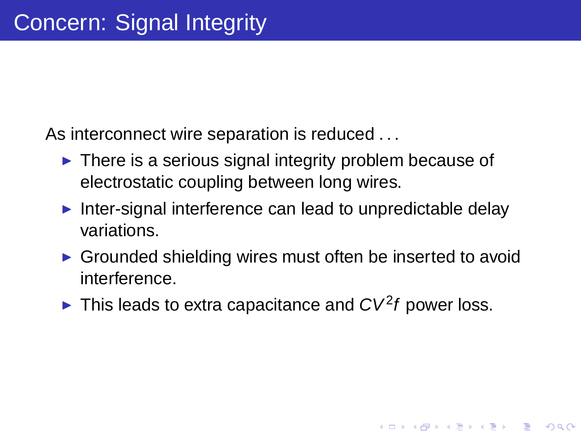As interconnect wire separation is reduced . . .

- $\blacktriangleright$  There is a serious signal integrity problem because of electrostatic coupling between long wires.
- $\blacktriangleright$  Inter-signal interference can lead to unpredictable delay variations.
- ▶ Grounded shielding wires must often be inserted to avoid interference.

 $\blacktriangleright$  This leads to extra capacitance and  $CV^2f$  power loss.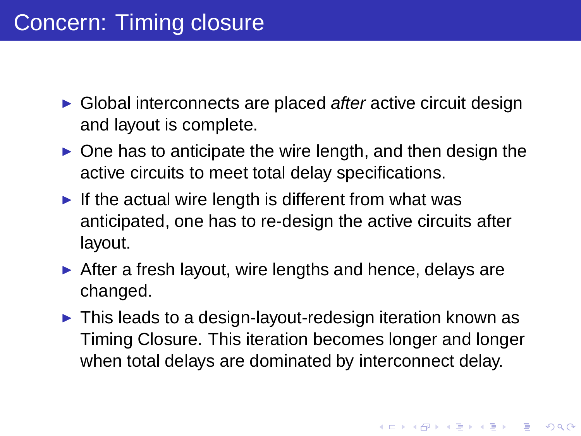- $\triangleright$  Global interconnects are placed after active circuit design and layout is complete.
- $\triangleright$  One has to anticipate the wire length, and then design the active circuits to meet total delay specifications.
- $\blacktriangleright$  If the actual wire length is different from what was anticipated, one has to re-design the active circuits after layout.
- ► After a fresh layout, wire lengths and hence, delays are changed.
- <span id="page-14-0"></span>► This leads to a design-layout-redesign iteration known as Timing Closure. This iteration becomes longer and longer when total delays are dominated by interconnect delay.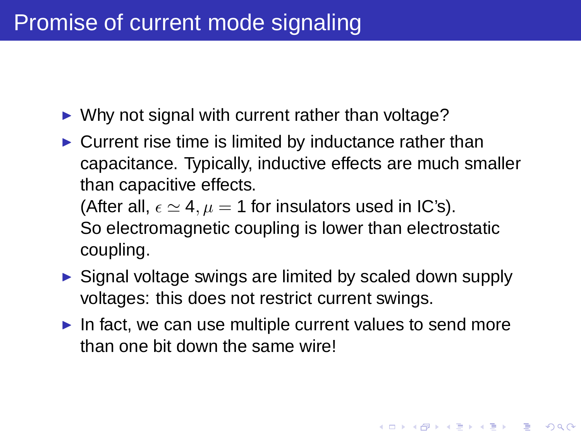- $\triangleright$  Why not signal with current rather than voltage?
- $\triangleright$  Current rise time is limited by inductance rather than capacitance. Typically, inductive effects are much smaller than capacitive effects.

(After all,  $\epsilon \simeq 4$ ,  $\mu = 1$  for insulators used in IC's). So electromagnetic coupling is lower than electrostatic coupling.

- ► Signal voltage swings are limited by scaled down supply voltages: this does not restrict current swings.
- <span id="page-15-0"></span> $\blacktriangleright$  In fact, we can use multiple current values to send more than one bit down the same wire!

.<br>◆ ロ ▶ ◆ @ ▶ ◆ 경 ▶ → 경 ▶ │ 경 │ ◇ 9,9,0°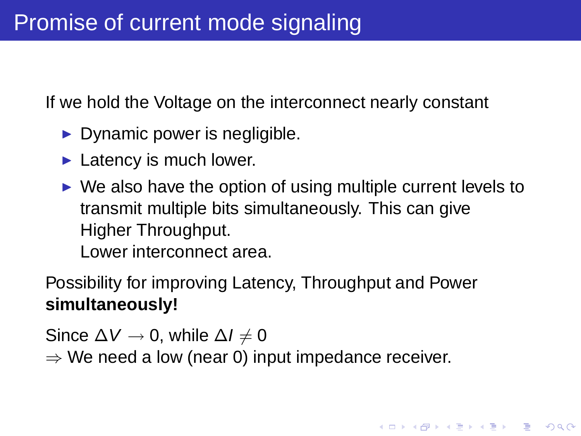If we hold the Voltage on the interconnect nearly constant

- $\blacktriangleright$  Dynamic power is negligible.
- $\blacktriangleright$  Latency is much lower.
- $\triangleright$  We also have the option of using multiple current levels to transmit multiple bits simultaneously. This can give Higher Throughput. Lower interconnect area.

Possibility for improving Latency, Throughput and Power **simultaneously!**

Since  $\Delta V \rightarrow 0$ , while  $\Delta I \neq 0$ 

 $\Rightarrow$  We need a low (near 0) input impedance receiver.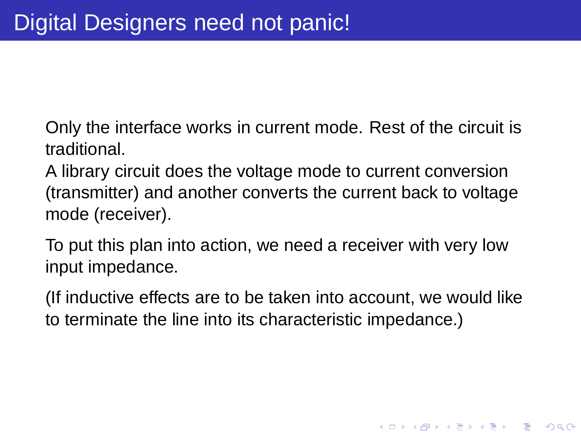Only the interface works in current mode. Rest of the circuit is traditional.

A library circuit does the voltage mode to current conversion (transmitter) and another converts the current back to voltage mode (receiver).

To put this plan into action, we need a receiver with very low input impedance.

<span id="page-17-0"></span>(If inductive effects are to be taken into account, we would like to terminate the line into its characteristic impedance.)

K ロ ▶ K @ ▶ K 할 ▶ K 할 ▶ | 할 | © Q Q @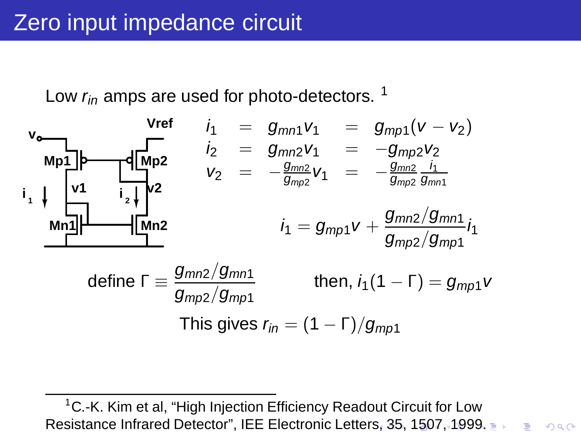Low  $r_{in}$  amps are used for photo-detectors. <sup>1</sup>



<span id="page-18-0"></span><sup>1</sup>C.-K. Kim et al, "High Injection Efficiency Readout Circuit for Low **Resistance Infrared Detector", IEE Electronic Letter[s, 3](#page-17-0)[5,](#page-19-0) [1](#page-15-0)[50](#page-18-0)[7](#page-19-0)[,](#page-14-0) 1[9](#page-23-0)9[9.](#page-8-0) EXECT OR CO**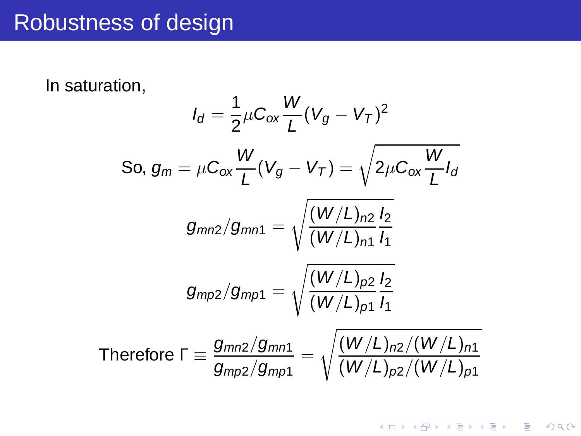#### Robustness of design

<span id="page-19-0"></span>In saturation,

$$
I_{d} = \frac{1}{2}\mu C_{ox} \frac{W}{L}(V_{g} - V_{T})^{2}
$$
  
So,  $g_{m} = \mu C_{ox} \frac{W}{L}(V_{g} - V_{T}) = \sqrt{2\mu C_{ox} \frac{W}{L}} I_{d}$   

$$
g_{mn2}/g_{mn1} = \sqrt{\frac{(W/L)_{n2} I_{2}}{(W/L)_{n1} I_{1}}}
$$
  

$$
g_{mp2}/g_{mp1} = \sqrt{\frac{(W/L)_{p2} I_{2}}{(W/L)_{p1} I_{1}}}
$$
  
Therefore  $\Gamma \equiv \frac{g_{mn2}/g_{mn1}}{g_{mp2}/g_{mp1}} = \sqrt{\frac{(W/L)_{n2}/(W/L)_{n1}}{(W/L)_{p2}/(W/L)_{p1}}}$ 

K ロ ▶ K @ ▶ K 할 > K 할 > 1 할 > 1 9 Q Q \*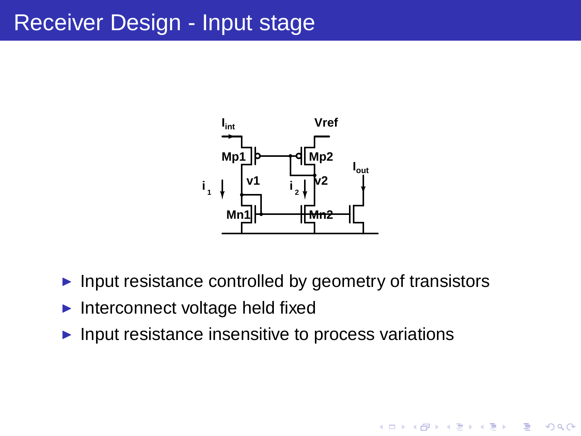#### Receiver Design - Input stage



 $\blacktriangleright$  Input resistance controlled by geometry of transistors

**KORK ERKERKERKERKER** 

- $\blacktriangleright$  Interconnect voltage held fixed
- $\blacktriangleright$  Input resistance insensitive to process variations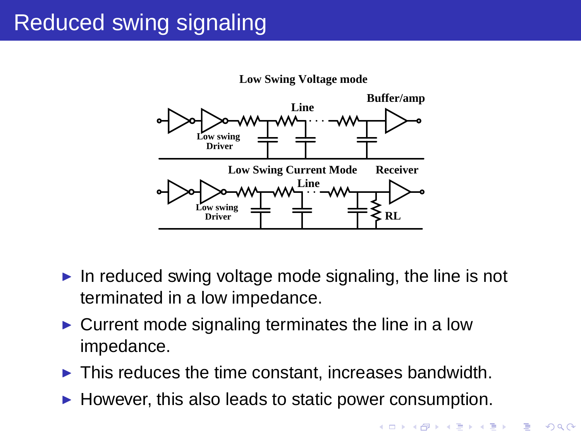## Reduced swing signaling



 $\triangleright$  In reduced swing voltage mode signaling, the line is not terminated in a low impedance.

- $\triangleright$  Current mode signaling terminates the line in a low impedance.
- $\blacktriangleright$  This reduces the time constant, increases bandwidth.
- ► However, this also leads to static power consumption.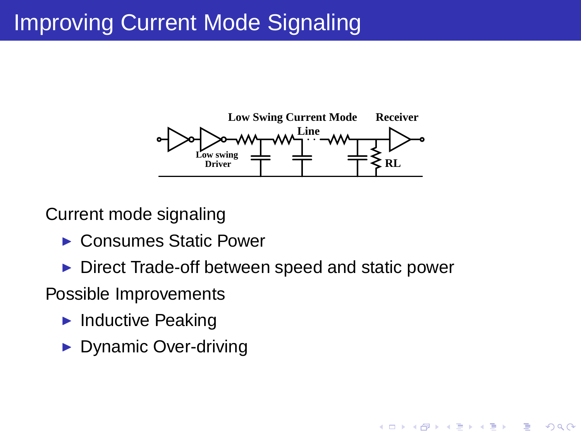# Improving Current Mode Signaling



**KORK ERKERKERKERKER** 

Current mode signaling

- ► Consumes Static Power
- ► Direct Trade-off between speed and static power

Possible Improvements

- $\blacktriangleright$  Inductive Peaking
- <span id="page-22-0"></span>► Dynamic Over-driving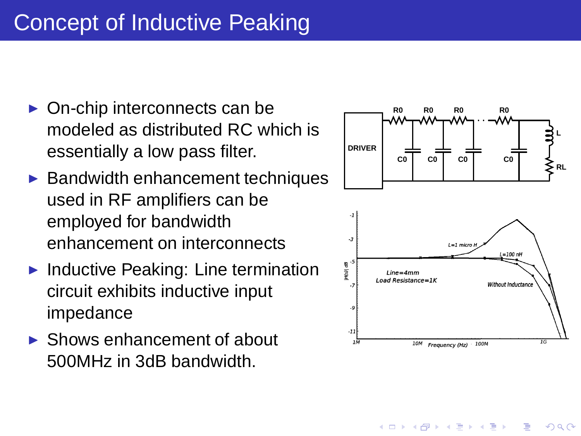## Concept of Inductive Peaking

- ► On-chip interconnects can be modeled as distributed RC which is essentially a low pass filter.
- $\blacktriangleright$  Bandwidth enhancement techniques used in RF amplifiers can be employed for bandwidth enhancement on interconnects
- ▶ Inductive Peaking: Line termination circuit exhibits inductive input impedance
- <span id="page-23-0"></span> $\triangleright$  Shows enhancement of about 500MHz in 3dB bandwidth.



**KORK ERKERKERKERKER**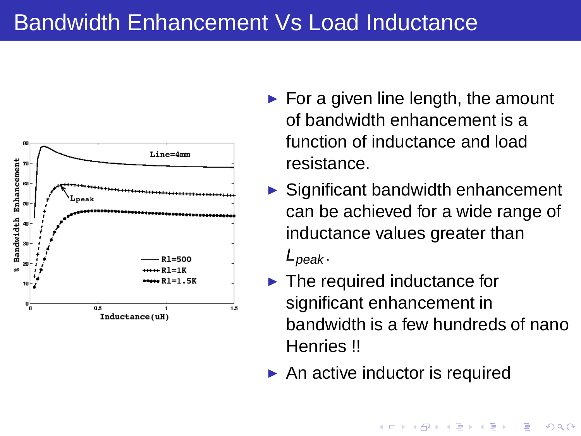### Bandwidth Enhancement Vs Load Inductance



- $\blacktriangleright$  For a given line length, the amount of bandwidth enhancement is a function of inductance and load resistance.
- $\triangleright$  Significant bandwidth enhancement can be achieved for a wide range of inductance values greater than  $L_{peak}$ .
- $\blacktriangleright$  The required inductance for significant enhancement in bandwidth is a few hundreds of nano Henries !!

 $\mathbf{1} \oplus \mathbf{1} \oplus \mathbf{1} \oplus \mathbf{1} \oplus \mathbf{1} \oplus \mathbf{1} \oplus \mathbf{1} \oplus \mathbf{1} \oplus \mathbf{1} \oplus \mathbf{1} \oplus \mathbf{1} \oplus \mathbf{1} \oplus \mathbf{1} \oplus \mathbf{1} \oplus \mathbf{1} \oplus \mathbf{1} \oplus \mathbf{1} \oplus \mathbf{1} \oplus \mathbf{1} \oplus \mathbf{1} \oplus \mathbf{1} \oplus \mathbf{1} \oplus \mathbf{1} \oplus \mathbf{1} \oplus \mathbf{$ 

 $QQ$ 

 $\triangleright$  An active inductor is required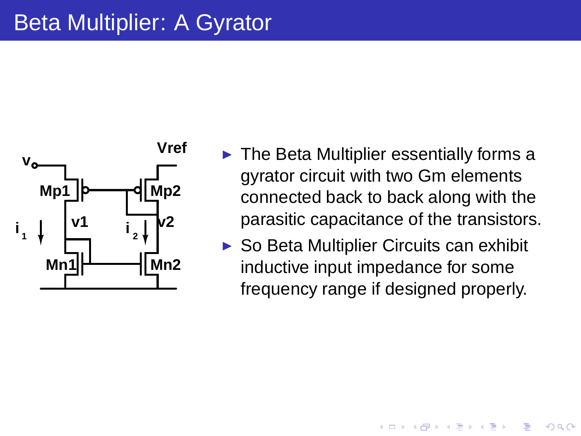

- $\blacktriangleright$  The Beta Multiplier essentially forms a gyrator circuit with two Gm elements connected back to back along with the parasitic capacitance of the transistors.
- $\triangleright$  So Beta Multiplier Circuits can exhibit inductive input impedance for some frequency range if designed properly.

**K ロ ト K 何 ト K ヨ ト K ヨ ト** 

 $\equiv$ 

 $2990$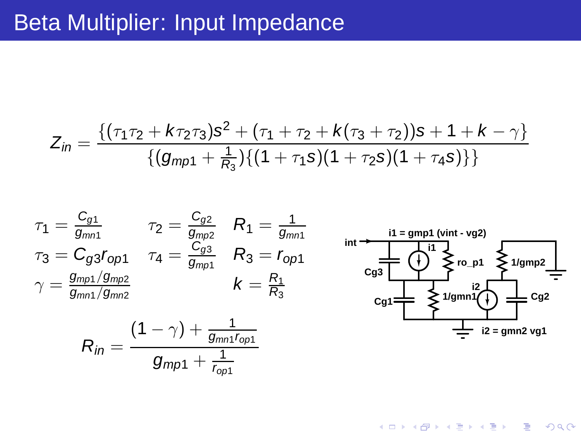## Beta Multiplier: Input Impedance

$$
Z_{in} = \frac{\{(\tau_1\tau_2 + k\tau_2\tau_3)s^2 + (\tau_1 + \tau_2 + k(\tau_3 + \tau_2))s + 1 + k - \gamma\}}{\{(g_{mp1} + \frac{1}{R_3})\{(1 + \tau_1s)(1 + \tau_2s)(1 + \tau_4s)\}\}}
$$

$$
\tau_1 = \frac{C_{g1}}{g_{mn1}} \qquad \tau_2 = \frac{C_{g2}}{g_{mp2}} \qquad R_1 = \frac{1}{g_{mn1}}
$$
\n
$$
\tau_3 = C_{g3} r_{op1} \qquad \tau_4 = \frac{C_{g3}}{g_{mp1}} \qquad R_3 = r_{op1} \qquad \text{int} \qquad \frac{1}{\text{Im } 1 \text{ smp1 (virt·vg2)}} \qquad \text{f= \frac{g_{mp1} / g_{mp2}}{g_{mn1} / g_{mn2}}} \qquad \text{f= \frac{R_1}{R_3} \qquad \text{f= \frac{1}{\text{Im } 1} \qquad \text{f= \frac{1}{\text{Im } 1}} \qquad \text{f= \frac{1}{\text{Im } 1} \qquad \text{f= \frac{1}{\text{Im } 1}} \qquad \text{f= \frac{1}{\text{Im } 1} \qquad \text{f= \frac{1}{\text{Im } 1}} \qquad \text{f= \frac{1}{\text{Im } 1} \qquad \text{f= \frac{1}{\text{Im } 1}} \qquad \text{f= \frac{1}{\text{Im } 1} \qquad \text{f= \frac{1}{\text{Im } 1}} \qquad \text{f= \frac{1}{\text{Im } 1} \qquad \text{f= \frac{1}{\text{Im } 1}} \qquad \text{f= \frac{1}{\text{Im } 1} \qquad \text{f= \frac{1}{\text{Im } 1}} \qquad \text{f= \frac{1}{\text{Im } 1} \qquad \text{f= \frac{1}{\text{Im } 1}} \qquad \text{f= \frac{1}{\text{Im } 1} \qquad \text{f= \frac{1}{\text{Im } 1}} \qquad \text{f= \frac{1}{\text{Im } 1} \qquad \text{f= \frac{1}{\text{Im } 1}} \qquad \text{f= \frac{1}{\text{Im } 1}} \qquad \text{f= \frac{1}{\text{Im } 1} \qquad \text{f= \frac{1}{\text{Im } 1}} \qquad \text{f= \frac{1}{\text{Im } 1}} \qquad \text{f= \frac{1}{\text{Im } 1}} \qquad \text{f= \frac{1}{\text{Im } 1}} \qquad \text{f= \frac{
$$

K ロ ▶ K @ ▶ K 할 ▶ K 할 ▶ | 할 | ⊙Q @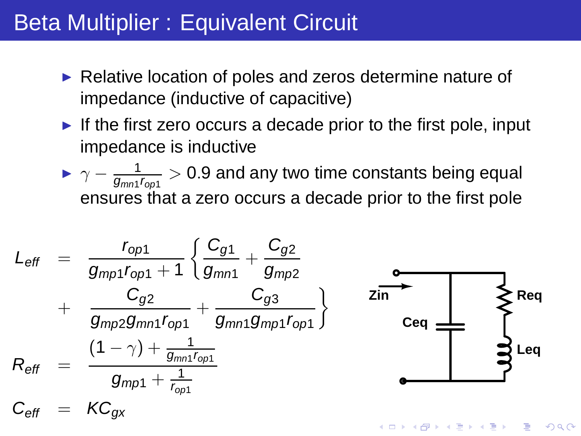### Beta Multiplier : Equivalent Circuit

- ▶ Relative location of poles and zeros determine nature of impedance (inductive of capacitive)
- $\triangleright$  If the first zero occurs a decade prior to the first pole, input impedance is inductive
- ►  $\gamma \frac{1}{g_{mn} \cdot \rho_{opt}} > 0.9$  and any two time constants being equal ensures that a zero occurs a decade prior to the first pole

$$
L_{\text{eff}} = \frac{r_{\text{opt}}}{g_{\text{mp1}}r_{\text{opt}} + 1} \left\{ \frac{C_{g1}}{g_{\text{mn1}}} + \frac{C_{g2}}{g_{\text{mp2}}}\right\}
$$
  
+ 
$$
\frac{C_{g2}}{g_{\text{mp2}}g_{\text{mn1}}r_{\text{opt}} + \frac{C_{g3}}{g_{\text{mn1}}g_{\text{mp1}}r_{\text{opt}}}} \right\}
$$
  

$$
R_{\text{eff}} = \frac{(1 - \gamma) + \frac{1}{g_{\text{mn1}}r_{\text{opt}}}}{g_{\text{mp1}} + \frac{1}{r_{\text{opt}}}}
$$
  

$$
C_{\text{eff}} = KC_{gx}
$$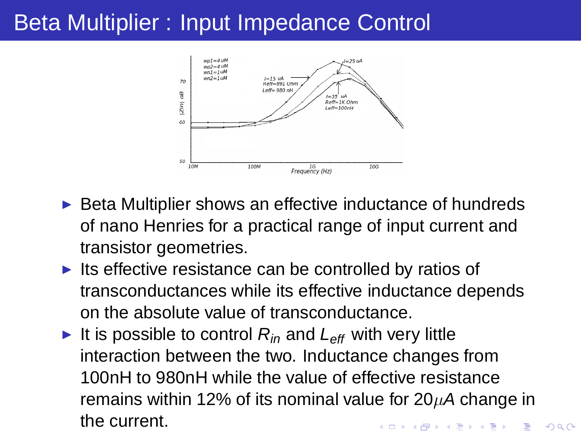## Beta Multiplier : Input Impedance Control



- ► Beta Multiplier shows an effective inductance of hundreds of nano Henries for a practical range of input current and transistor geometries.
- $\blacktriangleright$  Its effective resistance can be controlled by ratios of transconductances while its effective inductance depends on the absolute value of transconductance.
- It is possible to control  $R_{in}$  and  $L_{\text{eff}}$  with very little interaction between the two. Inductance changes from 100nH to 980nH while the value of effective resistance remains within 12% of its nominal value for  $20\mu A$  change in the current. $\left\{ \begin{array}{ccc} 1 & 0 & 0 \\ 0 & 1 & 0 \\ 0 & 0 & 0 \\ 0 & 0 & 0 \\ 0 & 0 & 0 \\ 0 & 0 & 0 \\ 0 & 0 & 0 \\ 0 & 0 & 0 \\ 0 & 0 & 0 \\ 0 & 0 & 0 \\ 0 & 0 & 0 \\ 0 & 0 & 0 \\ 0 & 0 & 0 \\ 0 & 0 & 0 \\ 0 & 0 & 0 & 0 \\ 0 & 0 & 0 & 0 \\ 0 & 0 & 0 & 0 \\ 0 & 0 & 0 & 0 & 0 \\ 0 & 0 & 0 & 0 & 0 \\ 0 & 0 & 0 & 0 & 0 \\ 0$

 $\Omega$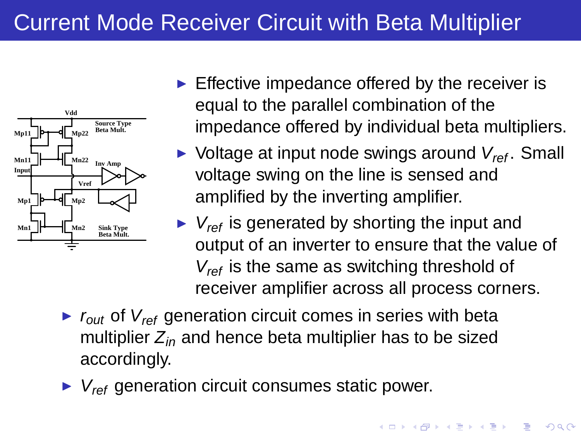# Current Mode Receiver Circuit with Beta Multiplier



- $\blacktriangleright$  Effective impedance offered by the receiver is equal to the parallel combination of the impedance offered by individual beta multipliers.
- $\triangleright$  Voltage at input node swings around  $V_{ref}$ . Small voltage swing on the line is sensed and amplified by the inverting amplifier.
- $\triangleright$   $V_{ref}$  is generated by shorting the input and output of an inverter to ensure that the value of  $V_{ref}$  is the same as switching threshold of receiver amplifier across all process corners.
- $\triangleright$  r<sub>out</sub> of  $V_{ref}$  generation circuit comes in series with beta multiplier  $Z_{in}$  and hence beta multiplier has to be sized accordingly.
- $\triangleright$  V<sub>ref</sub> generation circuit consumes static power.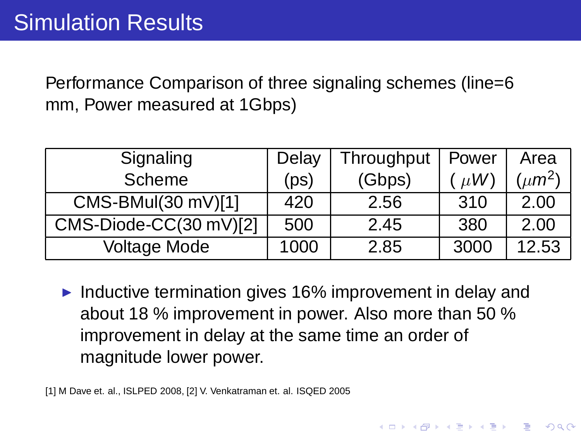Performance Comparison of three signaling schemes (line=6 mm, Power measured at 1Gbps)

| Signaling                        | Delay | Throughput | Power    | Area                   |
|----------------------------------|-------|------------|----------|------------------------|
| Scheme                           | (ps)  | (Gbps)     | $\mu$ W) | $\mu$ m <sup>2</sup> ) |
| $\overline{CMS}$ -BMul(30 mV)[1] | 420   | 2.56       | 310      | 2.00                   |
| CMS-Diode-CC(30 mV)[2]           | 500   | 2.45       | 380      | 2.00                   |
| Voltage Mode                     | 1000  | 2.85       | 3000     | 12.53                  |

▶ Inductive termination gives 16% improvement in delay and about 18 % improvement in power. Also more than 50 % improvement in delay at the same time an order of magnitude lower power.

[1] M Dave et. al., ISLPED 2008, [2] V. Venkatraman et. al. ISQED 2005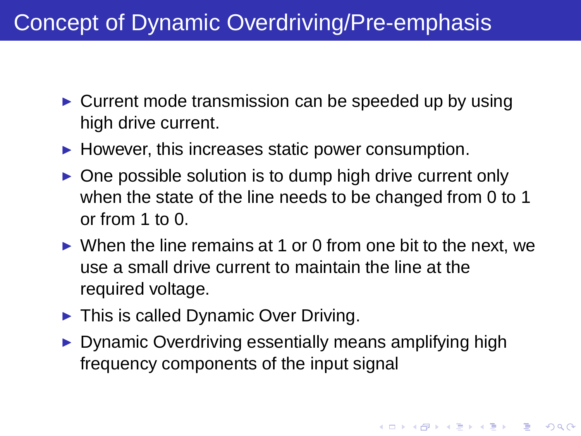## Concept of Dynamic Overdriving/Pre-emphasis

- $\triangleright$  Current mode transmission can be speeded up by using high drive current.
- $\blacktriangleright$  However, this increases static power consumption.
- $\triangleright$  One possible solution is to dump high drive current only when the state of the line needs to be changed from 0 to 1 or from 1 to 0.
- $\triangleright$  When the line remains at 1 or 0 from one bit to the next, we use a small drive current to maintain the line at the required voltage.
- $\blacktriangleright$  This is called Dynamic Over Driving.
- <span id="page-31-0"></span>▶ Dynamic Overdriving essentially means amplifying high frequency components of the input signal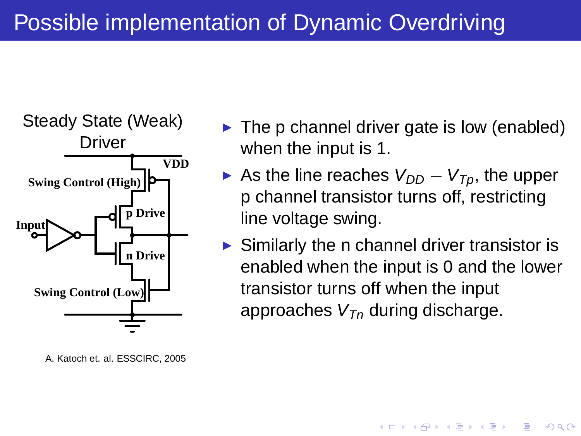

A. Katoch et. al. ESSCIRC, 2005

- $\triangleright$  The p channel driver gate is low (enabled) when the input is 1.
- As the line reaches  $V_{DD} V_{Tp}$ , the upper p channel transistor turns off, restricting line voltage swing.
- $\triangleright$  Similarly the n channel driver transistor is enabled when the input is 0 and the lower transistor turns off when the input approaches  $V_{Tn}$  during discharge.

**KORK ERKERKERKERKER**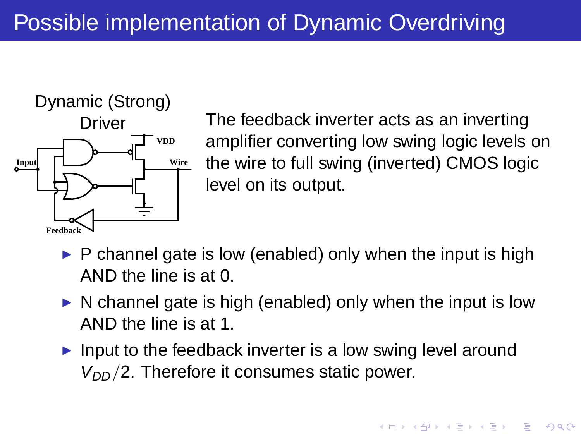

The feedback inverter acts as an inverting amplifier converting low swing logic levels on the wire to full swing (inverted) CMOS logic level on its output.

- $\triangleright$  P channel gate is low (enabled) only when the input is high AND the line is at 0.
- $\triangleright$  N channel gate is high (enabled) only when the input is low AND the line is at 1.
- $\blacktriangleright$  Input to the feedback inverter is a low swing level around  $V_{DD}/2$ . Therefore it consumes static power.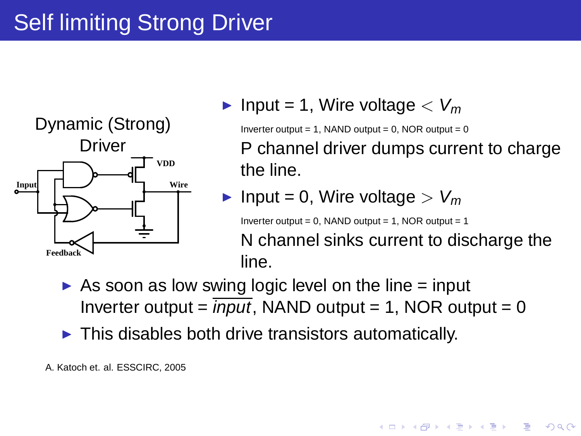# Self limiting Strong Driver



linput = 1, Wire voltage  $< V_m$ 

Inverter output = 1, NAND output = 0, NOR output =  $0$ 

P channel driver dumps current to charge the line.

Input = 0, Wire voltage  $> V_m$ 

Inverter output =  $0.$  NAND output =  $1.$  NOR output =  $1$ 

N channel sinks current to discharge the line.

**KORK ERKERKERKERKER** 

- $\triangleright$  As soon as low swing logic level on the line = input Inverter output =  $input$ , NAND output = 1, NOR output = 0
- $\blacktriangleright$  This disables both drive transistors automatically.

A. Katoch et. al. ESSCIRC, 2005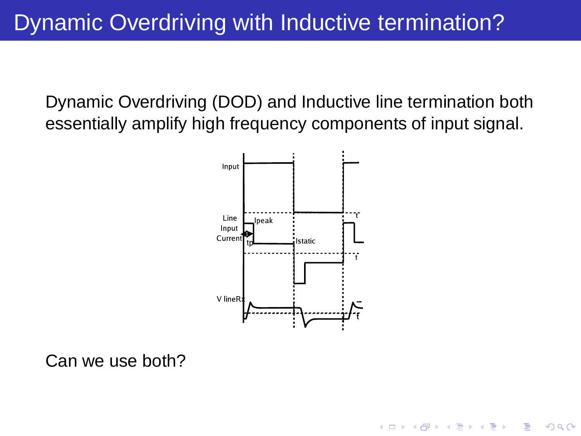Dynamic Overdriving (DOD) and Inductive line termination both essentially amplify high frequency components of input signal.



 $2990$ 

Þ

Can we use both?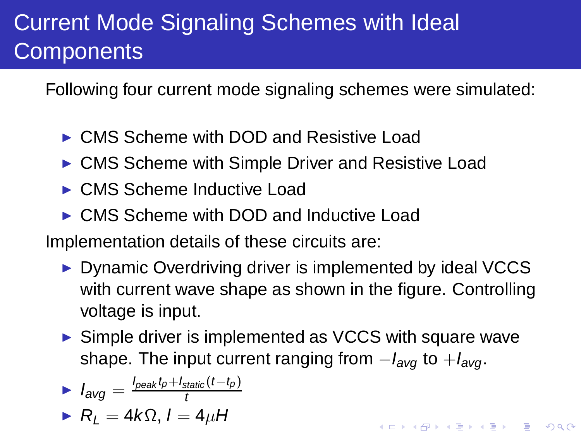# Current Mode Signaling Schemes with Ideal **Components**

Following four current mode signaling schemes were simulated:

- ▶ CMS Scheme with DOD and Resistive Load
- ► CMS Scheme with Simple Driver and Resistive Load
- ► CMS Scheme Inductive Load
- ► CMS Scheme with DOD and Inductive Load

Implementation details of these circuits are:

- ▶ Dynamic Overdriving driver is implemented by ideal VCCS with current wave shape as shown in the figure. Controlling voltage is input.
- ▶ Simple driver is implemented as VCCS with square wave shape. The input current ranging from  $-I_{\text{av}q}$  to  $+I_{\text{av}q}$ .

$$
\blacktriangleright \ \ I_{\text{avg}} = \tfrac{I_{\text{peak}}t_{\text{p}} + I_{\text{static}}(t - t_{\text{p}})}{t}
$$

$$
\blacktriangleright R_L = 4k\Omega, I = 4\mu H
$$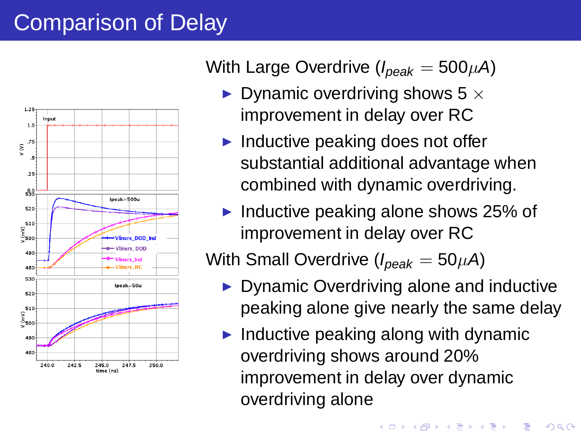## Comparison of Delay



With Large Overdrive ( $I_{peak} = 500 \mu A$ )

- Dynamic overdriving shows 5  $\times$ improvement in delay over RC
- $\blacktriangleright$  Inductive peaking does not offer substantial additional advantage when combined with dynamic overdriving.
- $\blacktriangleright$  Inductive peaking alone shows 25% of improvement in delay over RC

With Small Overdrive ( $I_{peak} = 50 \mu A$ )

- ▶ Dynamic Overdriving alone and inductive peaking alone give nearly the same delay
- $\blacktriangleright$  Inductive peaking along with dynamic overdriving shows around 20% improvement in delay over dynamic overdriving alone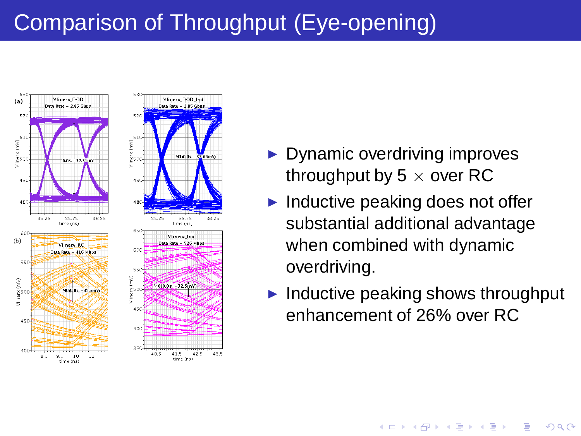# Comparison of Throughput (Eye-opening)



- $\blacktriangleright$  Dynamic overdriving improves throughput by  $5 \times$  over RC
- $\blacktriangleright$  Inductive peaking does not offer substantial additional advantage when combined with dynamic overdriving.
- $\blacktriangleright$  Inductive peaking shows throughput enhancement of 26% over RC

 $\left\{ \begin{array}{ccc} 1 & 0 & 0 \\ 0 & 1 & 0 \\ 0 & 0 & 0 \\ 0 & 0 & 0 \\ 0 & 0 & 0 \\ 0 & 0 & 0 \\ 0 & 0 & 0 \\ 0 & 0 & 0 \\ 0 & 0 & 0 \\ 0 & 0 & 0 \\ 0 & 0 & 0 \\ 0 & 0 & 0 \\ 0 & 0 & 0 \\ 0 & 0 & 0 \\ 0 & 0 & 0 & 0 \\ 0 & 0 & 0 & 0 \\ 0 & 0 & 0 & 0 \\ 0 & 0 & 0 & 0 & 0 \\ 0 & 0 & 0 & 0 & 0 \\ 0 & 0 & 0 & 0 & 0 \\ 0$ 

 $\Omega$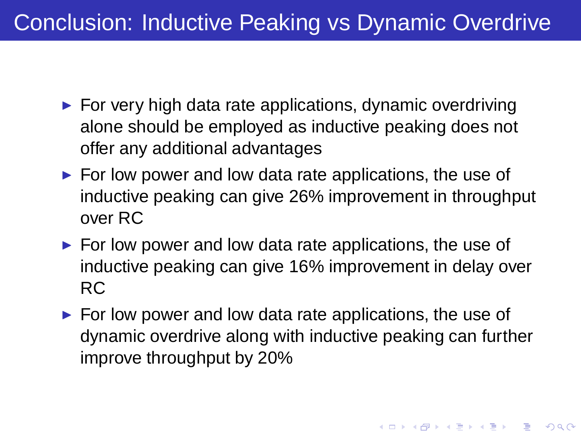- $\triangleright$  For very high data rate applications, dynamic overdriving alone should be employed as inductive peaking does not offer any additional advantages
- $\blacktriangleright$  For low power and low data rate applications, the use of inductive peaking can give 26% improvement in throughput over RC
- $\triangleright$  For low power and low data rate applications, the use of inductive peaking can give 16% improvement in delay over RC
- $\triangleright$  For low power and low data rate applications, the use of dynamic overdrive along with inductive peaking can further improve throughput by 20%

K ロ X K @ X K 할 X X 할 X 및 및 X Q Q Q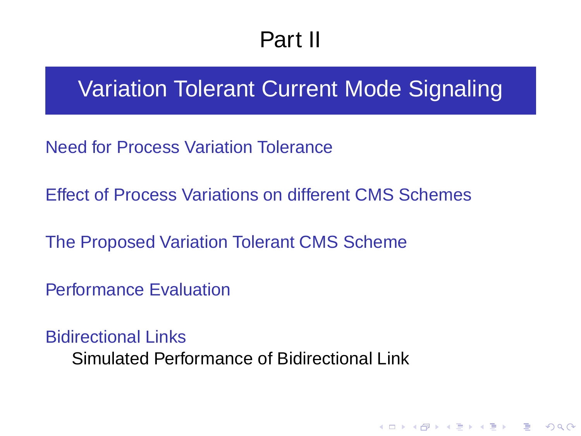# Part II

## [Variation Tolerant Current Mode Signaling](#page-40-0)

**KORK ERKERKER KORA** 

[Need for Process Variation Tolerance](#page-41-0)

[Effect of Process Variations on different CMS Schemes](#page-45-0)

[The Proposed Variation Tolerant CMS Scheme](#page-49-0)

[Performance Evaluation](#page-52-0)

<span id="page-40-0"></span>[Bidirectional Links](#page-57-0) [Simulated Performance of Bidirectional Link](#page-61-0)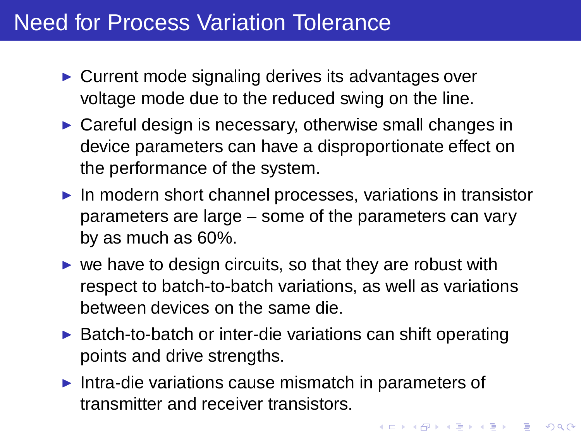### Need for Process Variation Tolerance

- ► Current mode signaling derives its advantages over voltage mode due to the reduced swing on the line.
- $\triangleright$  Careful design is necessary, otherwise small changes in device parameters can have a disproportionate effect on the performance of the system.
- $\blacktriangleright$  In modern short channel processes, variations in transistor parameters are large – some of the parameters can vary by as much as 60%.
- $\triangleright$  we have to design circuits, so that they are robust with respect to batch-to-batch variations, as well as variations between devices on the same die.
- ► Batch-to-batch or inter-die variations can shift operating points and drive strengths.
- <span id="page-41-0"></span>▶ Intra-die variations cause mismatch in parameters of transmitter and receiver transistors.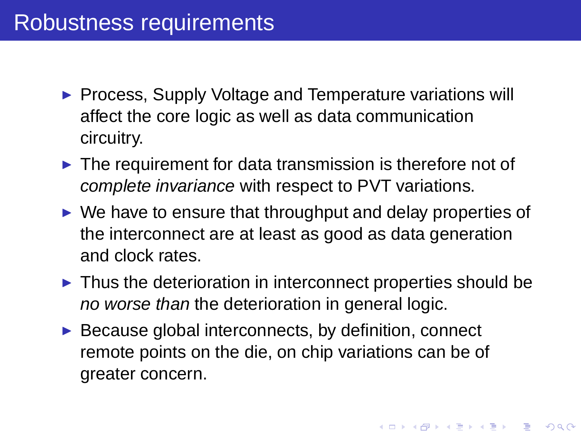- ► Process, Supply Voltage and Temperature variations will affect the core logic as well as data communication circuitry.
- ▶ The requirement for data transmission is therefore not of complete invariance with respect to PVT variations.
- ► We have to ensure that throughput and delay properties of the interconnect are at least as good as data generation and clock rates.
- $\blacktriangleright$  Thus the deterioration in interconnect properties should be no worse than the deterioration in general logic.
- $\triangleright$  Because global interconnects, by definition, connect remote points on the die, on chip variations can be of greater concern.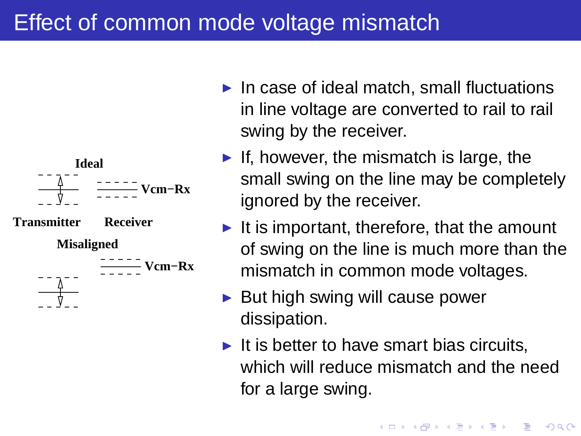### Effect of common mode voltage mismatch









- $\blacktriangleright$  In case of ideal match, small fluctuations in line voltage are converted to rail to rail swing by the receiver.
- $\blacktriangleright$  If, however, the mismatch is large, the small swing on the line may be completely ignored by the receiver.
- $\blacktriangleright$  It is important, therefore, that the amount of swing on the line is much more than the mismatch in common mode voltages.
- $\triangleright$  But high swing will cause power dissipation.
- $\blacktriangleright$  It is better to have smart bias circuits, which will reduce mismatch and the need for a large swing.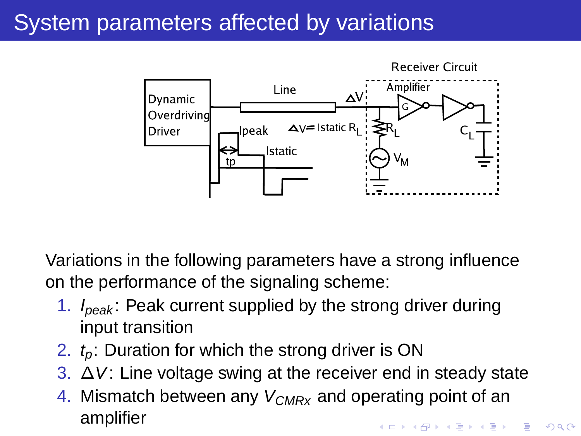### System parameters affected by variations



Variations in the following parameters have a strong influence on the performance of the signaling scheme:

- 1.  $I_{peak}$ : Peak current supplied by the strong driver during input transition
- 2.  $t_p$ : Duration for which the strong driver is ON
- 3. ∆V: Line voltage swing at the receiver end in steady state
- 4. Mismatch between any  $V_{CMRx}$  and operating point of an amplifier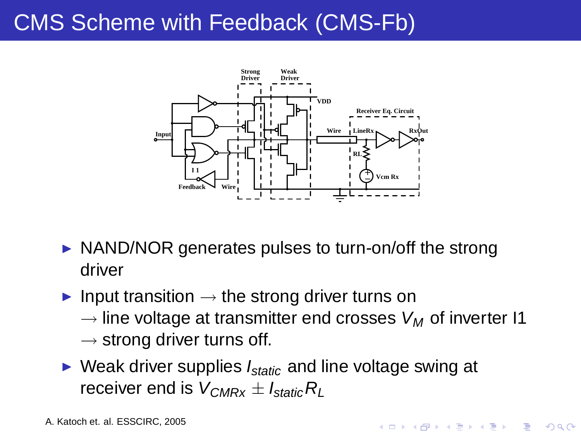### CMS Scheme with Feedback (CMS-Fb)



- $\triangleright$  NAND/NOR generates pulses to turn-on/off the strong driver
- $\triangleright$  Input transition  $\rightarrow$  the strong driver turns on
	- $\rightarrow$  line voltage at transmitter end crosses  $V_M$  of inverter I1
	- $\rightarrow$  strong driver turns off.
- <span id="page-45-0"></span> $\triangleright$  Weak driver supplies  $I_{static}$  and line voltage swing at receiver end is  $V_{CMRx} \pm I_{static} R_l$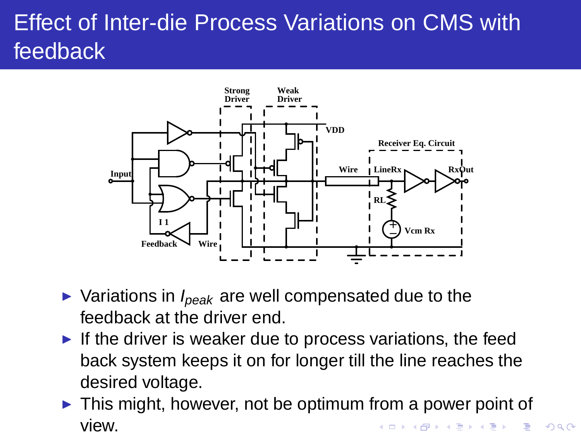# Effect of Inter-die Process Variations on CMS with feedback



- $\triangleright$  Variations in  $I_{peak}$  are well compensated due to the feedback at the driver end.
- $\blacktriangleright$  If the driver is weaker due to process variations, the feed back system keeps it on for longer till the line reaches the desired voltage.
- ► This might, however, not be optimum from a power point of view.K ロ X K @ X K 할 X X 할 X 및 및 X Q Q Q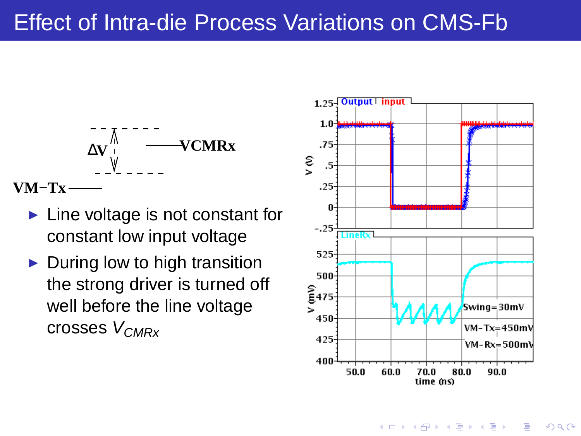### Effect of Intra-die Process Variations on CMS-Fb



- $\blacktriangleright$  Line voltage is not constant for constant low input voltage
- $\triangleright$  During low to high transition the strong driver is turned off well before the line voltage crosses  $V_{CMRx}$



÷.  $2Q$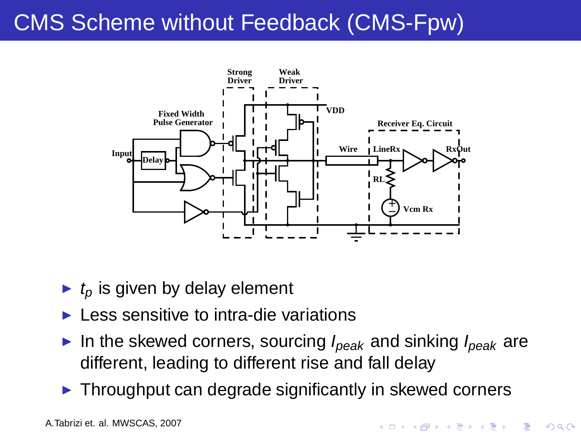### CMS Scheme without Feedback (CMS-Fpw)



- $\blacktriangleright$  t<sub>p</sub> is given by delay element
- $\blacktriangleright$  Less sensitive to intra-die variations
- In the skewed corners, sourcing  $I_{\text{peak}}$  and sinking  $I_{\text{peak}}$  are different, leading to different rise and fall delay
- ► Throughput can degrade significantly in skewed corners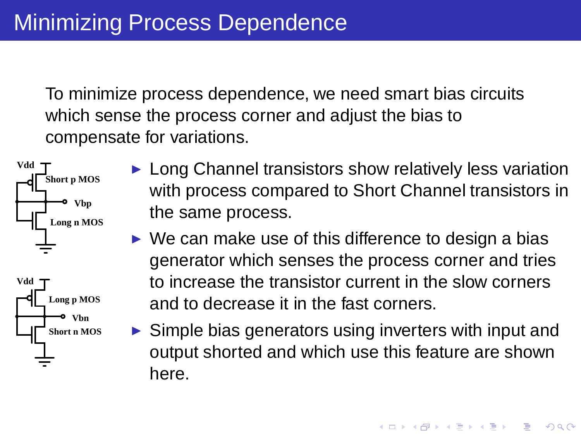To minimize process dependence, we need smart bias circuits which sense the process corner and adjust the bias to compensate for variations.



<span id="page-49-0"></span>

- ► Long Channel transistors show relatively less variation with process compared to Short Channel transistors in the same process.
- $\triangleright$  We can make use of this difference to design a bias generator which senses the process corner and tries to increase the transistor current in the slow corners and to decrease it in the fast corners.
- $\triangleright$  Simple bias generators using inverters with input and output shorted and which use this feature are shown here.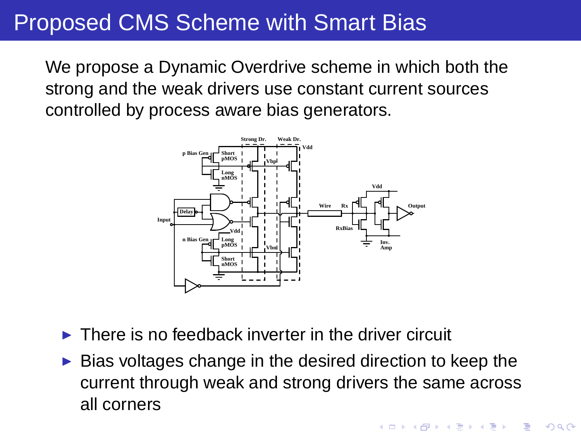### Proposed CMS Scheme with Smart Bias

We propose a Dynamic Overdrive scheme in which both the strong and the weak drivers use constant current sources controlled by process aware bias generators.



- $\triangleright$  There is no feedback inverter in the driver circuit
- ► Bias voltages change in the desired direction to keep the current through weak and strong drivers the same across all corners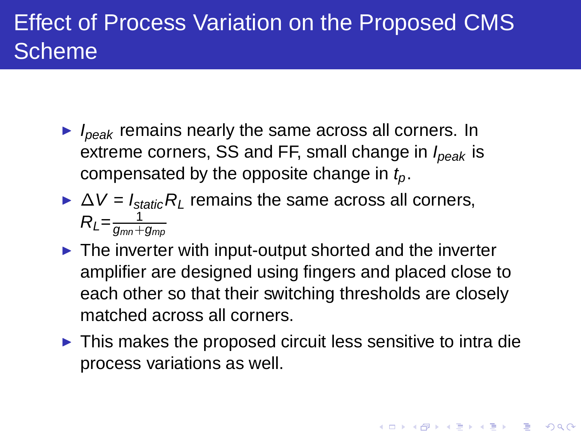# Effect of Process Variation on the Proposed CMS Scheme

- $\blacktriangleright$  I<sub>peak</sub> remains nearly the same across all corners. In extreme corners, SS and FF, small change in  $I_{peak}$  is compensated by the opposite change in  $t_p$ .
- $\triangleright \Delta V = I_{static} R_L$  remains the same across all corners,  $R_L = \frac{1}{q_{mn}+q}$  $g_{mn}+g_{mp}$
- $\blacktriangleright$  The inverter with input-output shorted and the inverter amplifier are designed using fingers and placed close to each other so that their switching thresholds are closely matched across all corners.
- ► This makes the proposed circuit less sensitive to intra die process variations as well.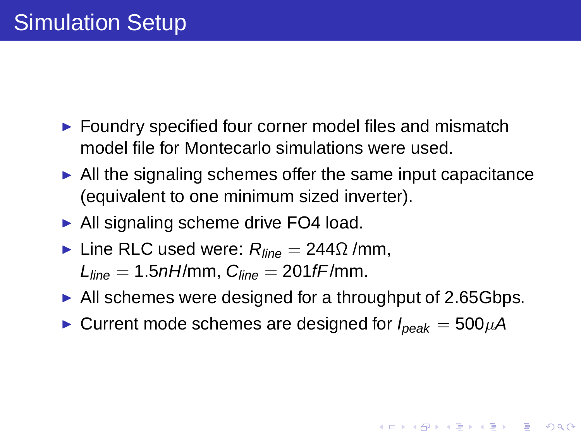- ► Foundry specified four corner model files and mismatch model file for Montecarlo simulations were used.
- $\triangleright$  All the signaling schemes offer the same input capacitance (equivalent to one minimum sized inverter).
- ► All signaling scheme drive FO4 load.
- $▶$  Line RLC used were:  $R_{line} = 244\Omega$  /mm,  $L_{line} = 1.5$ nH/mm,  $C_{line} = 201$ fF/mm.
- ► All schemes were designed for a throughput of 2.65Gbps.

<span id="page-52-0"></span>► Current mode schemes are designed for  $I_{peak} = 500 \mu A$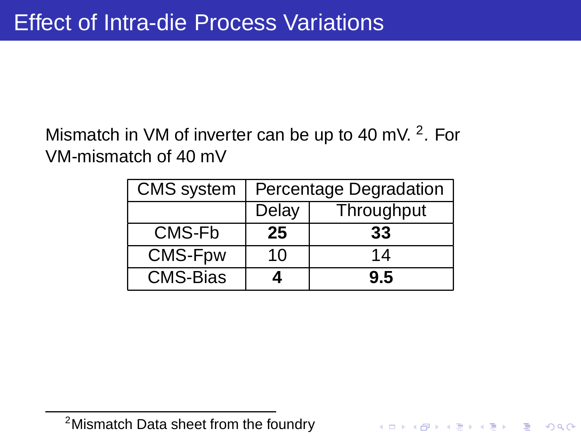### Mismatch in VM of inverter can be up to 40 mV. <sup>2</sup>. For VM-mismatch of 40 mV

| <b>CMS</b> system | Percentage Degradation |            |  |
|-------------------|------------------------|------------|--|
|                   | Delay                  | Throughput |  |
| CMS-Fb            | 25                     | 33         |  |
| CMS-Fpw           | 10                     | 14         |  |
| <b>CMS-Bias</b>   |                        | 9.5        |  |

K ロ ▶ K @ ▶ K 할 ▶ K 할 ▶ | 할 | © Q Q @

<sup>&</sup>lt;sup>2</sup>Mismatch Data sheet from the foundry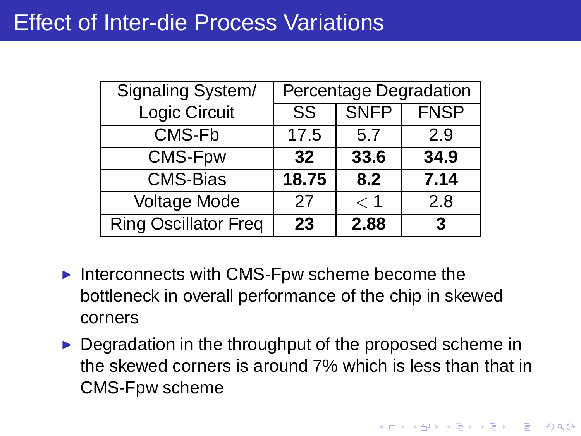| Signaling System/           | Percentage Degradation |             |             |  |
|-----------------------------|------------------------|-------------|-------------|--|
| Logic Circuit               | <b>SS</b>              | <b>SNFP</b> | <b>FNSP</b> |  |
| CMS-Fb                      | 17.5                   | 5.7         | 2.9         |  |
| CMS-Fpw                     | 32                     | 33.6        | 34.9        |  |
| <b>CMS-Bias</b>             | 18.75                  | 8.2         | 7.14        |  |
| <b>Voltage Mode</b>         | 27                     | $<$ 1       | 2.8         |  |
| <b>Ring Oscillator Freq</b> | 23                     | 2.88        | 3           |  |

- ► Interconnects with CMS-Fpw scheme become the bottleneck in overall performance of the chip in skewed corners
- ► Degradation in the throughput of the proposed scheme in the skewed corners is around 7% which is less than that in CMS-Fpw scheme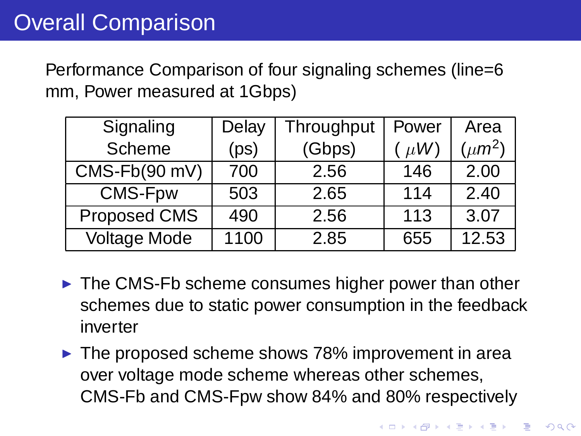Performance Comparison of four signaling schemes (line=6 mm, Power measured at 1Gbps)

| Signaling           | Delay | Throughput | Power   | Area        |
|---------------------|-------|------------|---------|-------------|
| Scheme              | (ps)  | (Gbps)     | $\mu$ W | $(\mu m^2)$ |
| CMS-Fb(90 mV)       | 700   | 2.56       | 146     | 2.00        |
| CMS-Fpw             | 503   | 2.65       | 114     | 2.40        |
| Proposed CMS        | 490   | 2.56       | 113     | 3.07        |
| <b>Voltage Mode</b> | 1100  | 2.85       | 655     | 12.53       |

- ► The CMS-Fb scheme consumes higher power than other schemes due to static power consumption in the feedback inverter
- ► The proposed scheme shows 78% improvement in area over voltage mode scheme whereas other schemes, CMS-Fb and CMS-Fpw show 84% and 80% respectively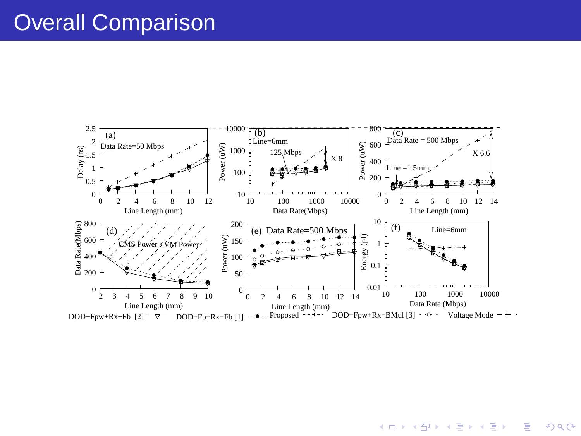### Overall Comparison



 $\left\{ \begin{array}{ccc} \square & \rightarrow & \left\langle \bigoplus \right. \right. & \rightarrow & \left\langle \biguplus \right. \right. & \rightarrow & \left\langle \biguplus \right. \right. \end{array}$  $\Rightarrow$  $299$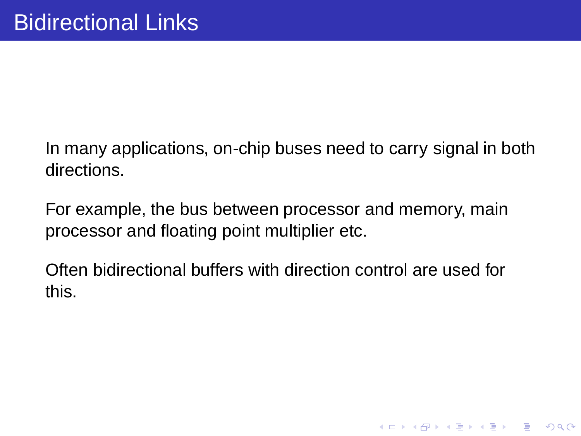In many applications, on-chip buses need to carry signal in both directions.

For example, the bus between processor and memory, main processor and floating point multiplier etc.

<span id="page-57-0"></span>Often bidirectional buffers with direction control are used for this.

**KORK ERREADEMENT**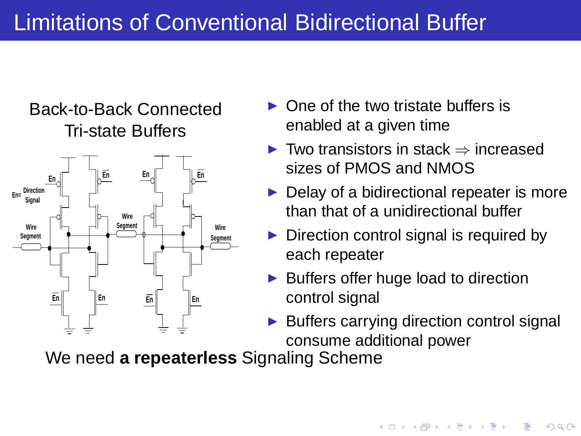### Back-to-Back Connected Tri-state Buffers



- $\triangleright$  One of the two tristate buffers is enabled at a given time
- ◮ Two transistors in stack ⇒ increased sizes of PMOS and NMOS
- $\blacktriangleright$  Delay of a bidirectional repeater is more than that of a unidirectional buffer
- $\triangleright$  Direction control signal is required by each repeater
- $\blacktriangleright$  Buffers offer huge load to direction control signal
- $\blacktriangleright$  Buffers carrying direction control signal consume additional power

We need **a repeaterless** Signaling Scheme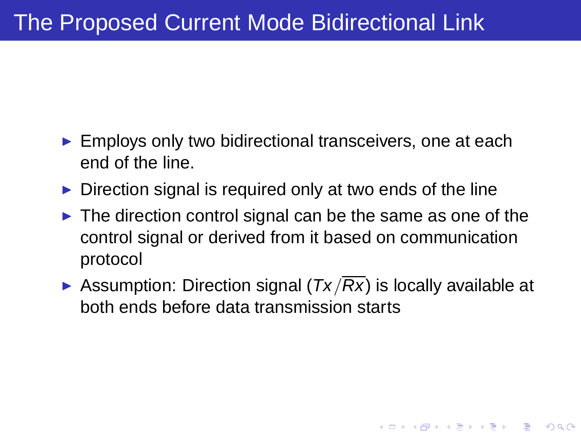- ► Employs only two bidirectional transceivers, one at each end of the line.
- $\triangleright$  Direction signal is required only at two ends of the line
- $\triangleright$  The direction control signal can be the same as one of the control signal or derived from it based on communication protocol
- Assumption: Direction signal ( $Tx/\overline{Rx}$ ) is locally available at both ends before data transmission starts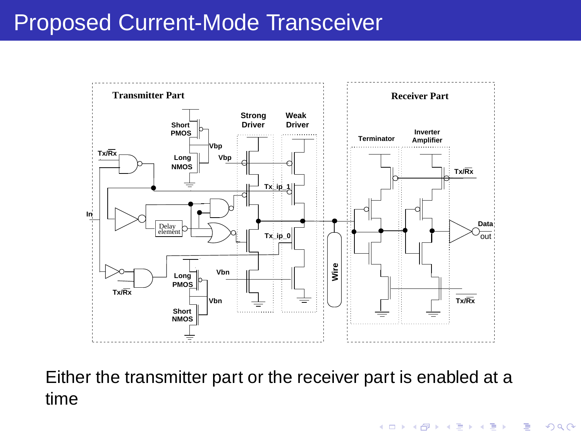### Proposed Current-Mode Transceiver



Either the transmitter part or the receiver part is enabled at a time

**ADD CERTIFIED A EN ADD**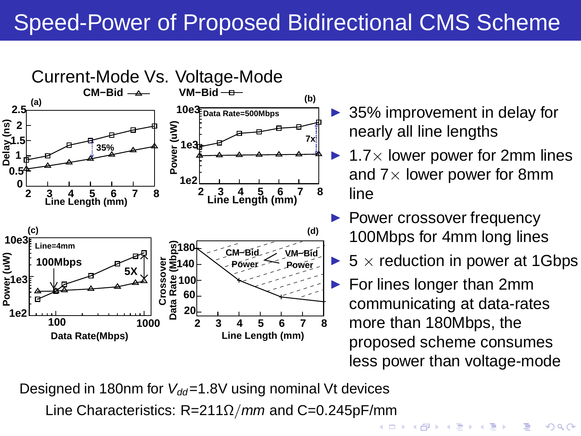### Speed-Power of Proposed Bidirectional CMS Scheme



- ◮ 35% improvement in delay for nearly all line lengths
- $1.7\times$  lower power for 2mm lines and  $7\times$  lower power for 8mm line
- ▶ Power crossover frequency 100Mbps for 4mm long lines
	- $5 \times$  reduction in power at 1Gbps
	- ◮ For lines longer than 2mm communicating at data-rates more than 180Mbps, the proposed scheme consumes less power than voltage-mode

<span id="page-61-0"></span>Designed in 180nm for  $V_{dd}=1.8V$  using nominal Vt devices

Line Characteristics:  $R = 211 \Omega/mm$  and C=0.245pF/mm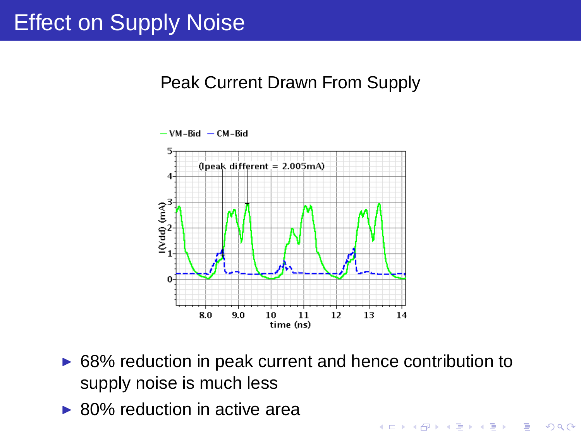## Effect on Supply Noise

#### Peak Current Drawn From Supply



► 68% reduction in peak current and hence contribution to supply noise is much less

**KORK ERKERKER KORA** 

 $\triangleright$  80% reduction in active area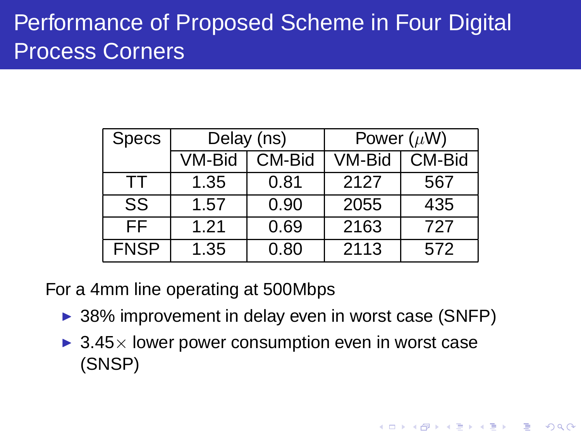# Performance of Proposed Scheme in Four Digital Process Corners

| <b>Specs</b> | Delay (ns) |               | Power $(\mu W)$ |               |
|--------------|------------|---------------|-----------------|---------------|
|              | VM-Bid     | <b>CM-Bid</b> | VM-Bid          | <b>CM-Bid</b> |
| <b>TT</b>    | 1.35       | 0.81          | 2127            | 567           |
| <b>SS</b>    | 1.57       | 0.90          | 2055            | 435           |
| FF.          | 1.21       | 0.69          | 2163            | 727           |
| <b>FNSP</b>  | 1.35       | 0.80          | 2113            | 572           |

For a 4mm line operating at 500Mbps

- ▶ 38% improvement in delay even in worst case (SNFP)
- $\triangleright$  3.45 x lower power consumption even in worst case (SNSP)

**KORK ERREADEMENT**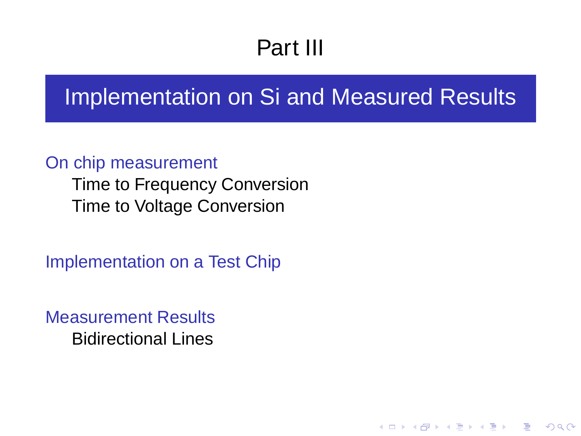# Part III

### [Implementation on Si and Measured Results](#page-64-0)

K ロ X x 4D X X B X X B X 2 B X 9 Q Q Q

#### [On chip measurement](#page-65-0)

[Time to Frequency Conversion](#page-66-0) [Time to Voltage Conversion](#page-70-0)

[Implementation on a Test Chip](#page-72-0)

<span id="page-64-0"></span>[Measurement Results](#page-73-0) [Bidirectional Lines](#page-78-0)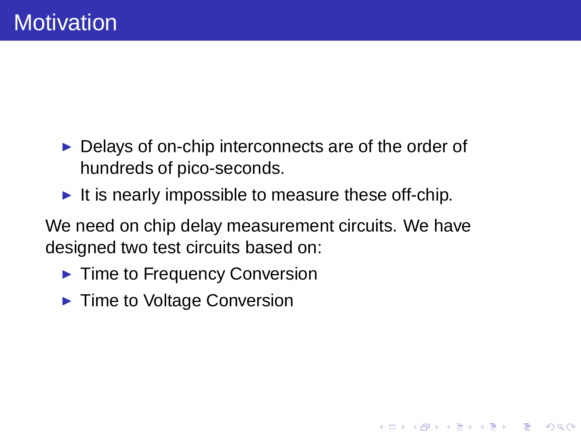- ► Delays of on-chip interconnects are of the order of hundreds of pico-seconds.
- $\blacktriangleright$  It is nearly impossible to measure these off-chip.

We need on chip delay measurement circuits. We have designed two test circuits based on:

**KORK ERKERKER KORA** 

- ▶ Time to Frequency Conversion
- <span id="page-65-0"></span>► Time to Voltage Conversion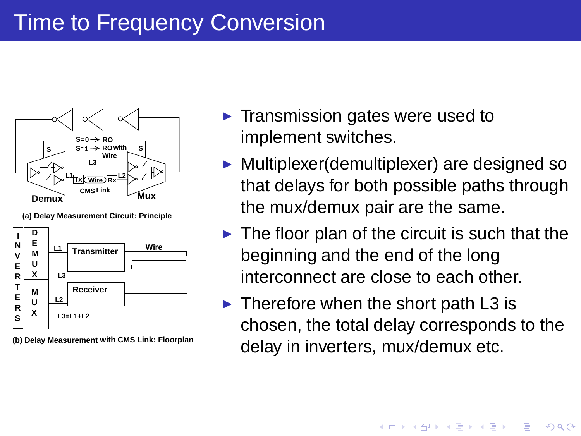### Time to Frequency Conversion



**(a) Delay Measurement Circuit: Principle**



<span id="page-66-0"></span>**(b) Delay Measurement with CMS Link: Floorplan**

- $\blacktriangleright$  Transmission gates were used to implement switches.
- $\triangleright$  Multiplexer(demultiplexer) are designed so that delays for both possible paths through the mux/demux pair are the same.
- $\blacktriangleright$  The floor plan of the circuit is such that the beginning and the end of the long interconnect are close to each other.
- $\triangleright$  Therefore when the short path L3 is chosen, the total delay corresponds to the delay in inverters, mux/demux etc.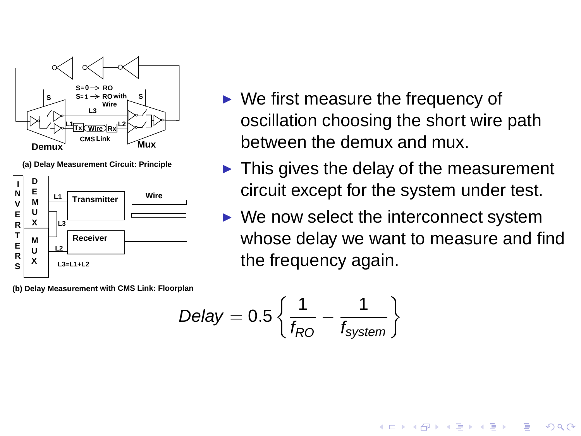



**(b) Delay Measurement with CMS Link: Floorplan**

- ▶ We first measure the frequency of oscillation choosing the short wire path between the demux and mux.
- $\blacktriangleright$  This gives the delay of the measurement circuit except for the system under test.
- ► We now select the interconnect system whose delay we want to measure and find the frequency again.

**KORK ERKERKER KORA** 

$$
\textit{Delay} = 0.5 \left\{ \frac{1}{f_{RO}} - \frac{1}{f_{system}} \right\}
$$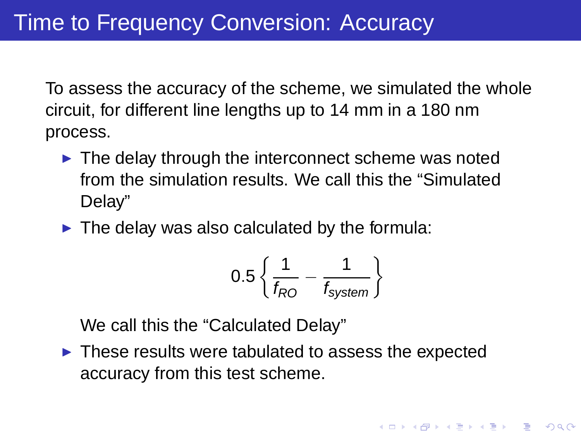To assess the accuracy of the scheme, we simulated the whole circuit, for different line lengths up to 14 mm in a 180 nm process.

- $\blacktriangleright$  The delay through the interconnect scheme was noted from the simulation results. We call this the "Simulated Delay"
- $\blacktriangleright$  The delay was also calculated by the formula:

$$
0.5\left\{\frac{1}{f_{RO}}-\frac{1}{f_{system}}\right\}
$$

We call this the "Calculated Delay"

 $\blacktriangleright$  These results were tabulated to assess the expected accuracy from this test scheme.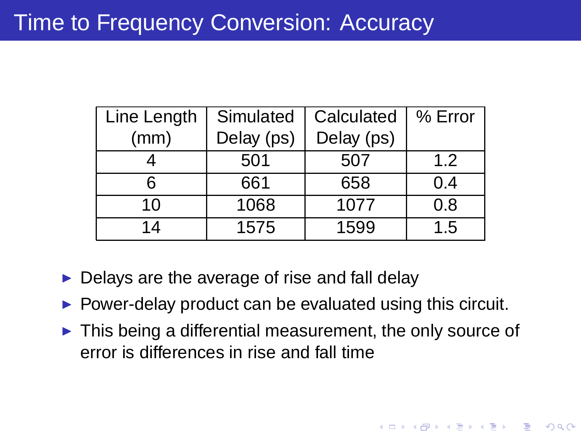| Line Length | Simulated  | Calculated | % Error |
|-------------|------------|------------|---------|
| (mm)        | Delay (ps) | Delay (ps) |         |
|             | 501        | 507        | 1.2     |
| 6           | 661        | 658        | 0.4     |
| 10          | 1068       | 1077       | 0.8     |
| 14          | 1575       | 1599       | 1.5     |

- $\triangleright$  Delays are the average of rise and fall delay
- $\triangleright$  Power-delay product can be evaluated using this circuit.
- $\blacktriangleright$  This being a differential measurement, the only source of error is differences in rise and fall time

**KORK ERREADEMENT**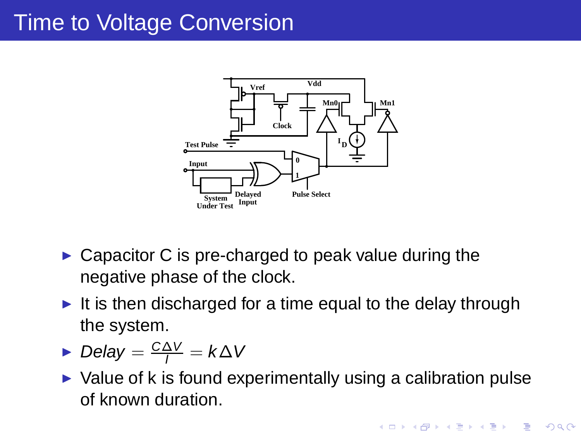### Time to Voltage Conversion



- $\triangleright$  Capacitor C is pre-charged to peak value during the negative phase of the clock.
- $\blacktriangleright$  It is then discharged for a time equal to the delay through the system.
- $\blacktriangleright$  Delay =  $\frac{C\Delta V}{l} = k\Delta V$
- <span id="page-70-0"></span> $\triangleright$  Value of k is found experimentally using a calibration pulse of known duration.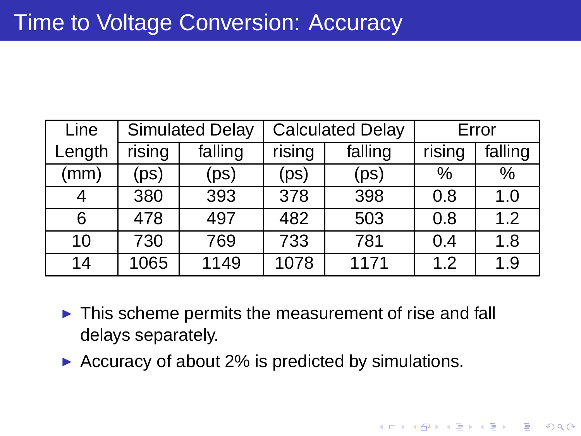| Line   | <b>Simulated Delay</b> |         | <b>Calculated Delay</b> |         | Error  |         |
|--------|------------------------|---------|-------------------------|---------|--------|---------|
| Length | rising                 | falling | rising                  | falling | rising | falling |
| (mm)   | .ps)                   | (ps)    | (ps                     | (ps)    | $\%$   | %       |
|        | 380                    | 393     | 378                     | 398     | 0.8    | 1.0     |
| 6      | 478                    | 497     | 482                     | 503     | 0.8    | 1.2     |
| 10     | 730                    | 769     | 733                     | 781     | 0.4    | 1.8     |
| 14     | 1065                   | 1149    | 1078                    | 1171    | 1.2    | 1.9     |

 $\triangleright$  This scheme permits the measurement of rise and fall delays separately.

KO K K Ø K K E K K E K Y K K K K K K K K

 $\triangleright$  Accuracy of about 2% is predicted by simulations.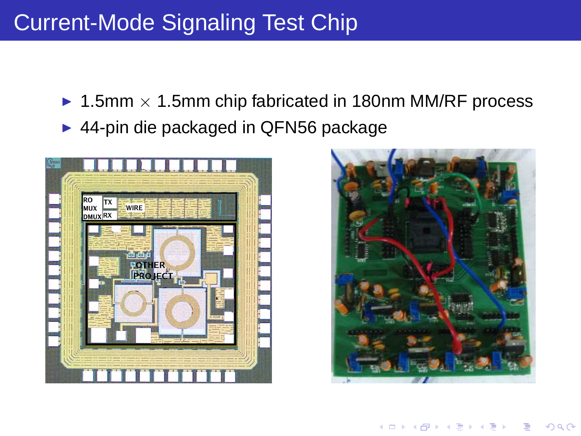## Current-Mode Signaling Test Chip

- ▶ 1.5mm  $\times$  1.5mm chip fabricated in 180nm MM/RF process
- ► 44-pin die packaged in QFN56 package



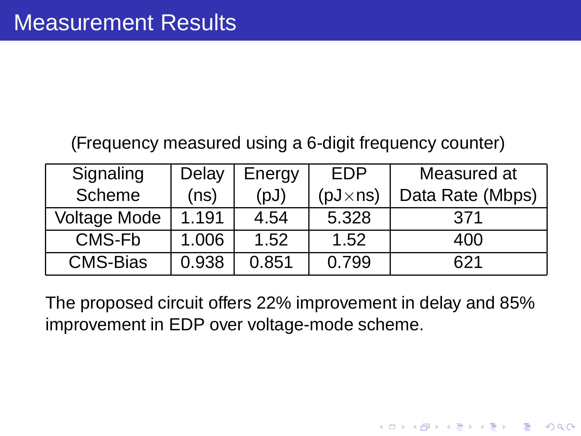#### (Frequency measured using a 6-digit frequency counter)

| Signaling       | Delay | Energy | <b>EDP</b>       | Measured at      |
|-----------------|-------|--------|------------------|------------------|
| Scheme          | (ns)  | (DJ)   | $(pJ \times ns)$ | Data Rate (Mbps) |
| Voltage Mode    | 1.191 | 4.54   | 5.328            | 371              |
| CMS-Fb          | 1.006 | 1.52   | 1.52             | 400              |
| <b>CMS-Bias</b> | 0.938 | 0.851  | 0.799            | 621              |

The proposed circuit offers 22% improvement in delay and 85% improvement in EDP over voltage-mode scheme.

K ロ X x 4 B X X B X X B X 2 X 2 O Q Q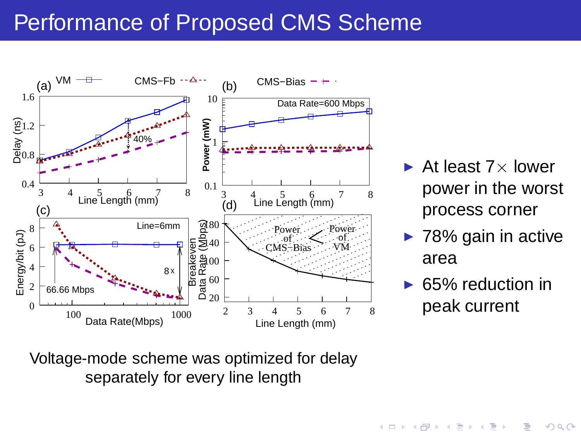### Performance of Proposed CMS Scheme



- $\blacktriangleright$  At least 7  $\times$  lower power in the worst process corner
- $\blacktriangleright$  78% gain in active area
- ► 65% reduction in peak current

 $QQ$ 

イロト イ伊 トイヨ トイヨト

Voltage-mode scheme was optimized for delay separately for every line length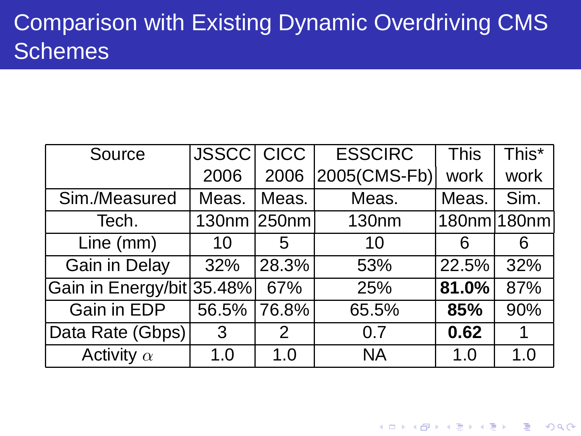# Comparison with Existing Dynamic Overdriving CMS **Schemes**

| Source                    | <b>JSSCC CICC</b> |       | <b>ESSCIRC</b> | <b>This</b> | This* |
|---------------------------|-------------------|-------|----------------|-------------|-------|
|                           | 2006              | 2006  | 2005(CMS-Fb)   | work        | work  |
| Sim./Measured             | Meas.             | Meas. | Meas.          | Meas.       | Sim.  |
| Tech.                     | 130nm 250nm       |       | 130nm          | 180nm 180nm |       |
| Line (mm)                 | 10                | 5     | 10             | 6           | 6     |
| <b>Gain in Delay</b>      | 32%               | 28.3% | 53%            | 22.5%       | 32%   |
| Gain in Energy/bit 35.48% |                   | 67%   | 25%            | 81.0%       | 87%   |
| Gain in EDP               | 56.5%             | 76.8% | 65.5%          | 85%         | 90%   |
| Data Rate (Gbps)          | 3                 | 2     | 0.7            | 0.62        |       |
| Activity $\alpha$         | 1.0               | 1.0   | <b>NA</b>      | 1.0         | 1.0   |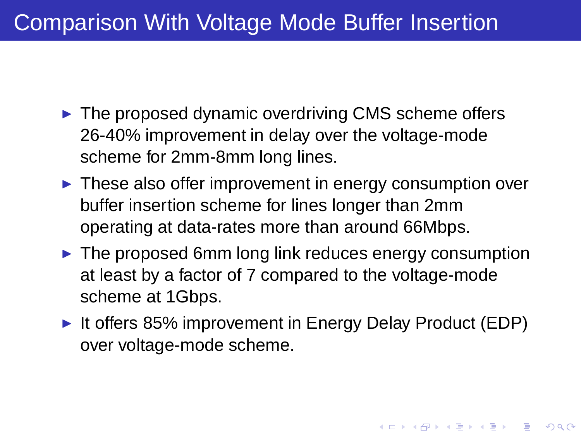- ► The proposed dynamic overdriving CMS scheme offers 26-40% improvement in delay over the voltage-mode scheme for 2mm-8mm long lines.
- ► These also offer improvement in energy consumption over buffer insertion scheme for lines longer than 2mm operating at data-rates more than around 66Mbps.
- ► The proposed 6mm long link reduces energy consumption at least by a factor of 7 compared to the voltage-mode scheme at 1Gbps.
- ► It offers 85% improvement in Energy Delay Product (EDP) over voltage-mode scheme.

.<br>◆ ロ ▶ ◆ @ ▶ ◆ 경 ▶ → 경 ▶ │ 경 │ ◇ 9,9,0°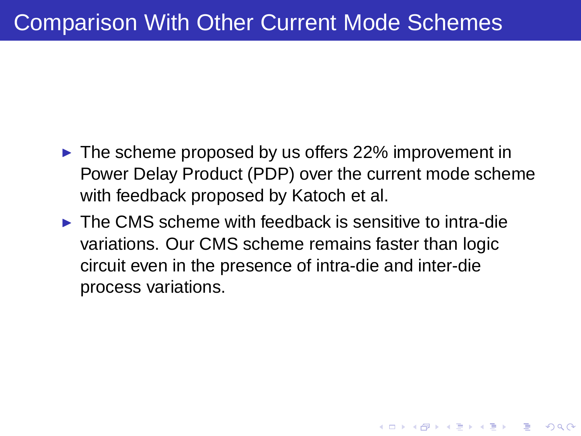## Comparison With Other Current Mode Schemes

- ► The scheme proposed by us offers 22% improvement in Power Delay Product (PDP) over the current mode scheme with feedback proposed by Katoch et al.
- $\triangleright$  The CMS scheme with feedback is sensitive to intra-die variations. Our CMS scheme remains faster than logic circuit even in the presence of intra-die and inter-die process variations.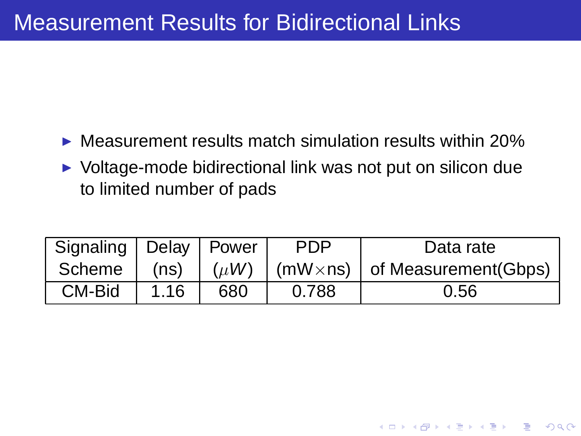- $\triangleright$  Measurement results match simulation results within 20%
- ▶ Voltage-mode bidirectional link was not put on silicon due to limited number of pads

| Signaling   Delay   Power |      |                  | <b>PDP</b> | Data rate                                           |
|---------------------------|------|------------------|------------|-----------------------------------------------------|
| Scheme                    | (ns) | $\mathsf{L}(uW)$ |            | $\mid$ (mW $\times$ ns) $\mid$ of Measurement(Gbps) |
| CM-Bid                    | 1.16 | 680              | 0.788      | 0.56                                                |

**YO A GRANGE YEAR HOLE**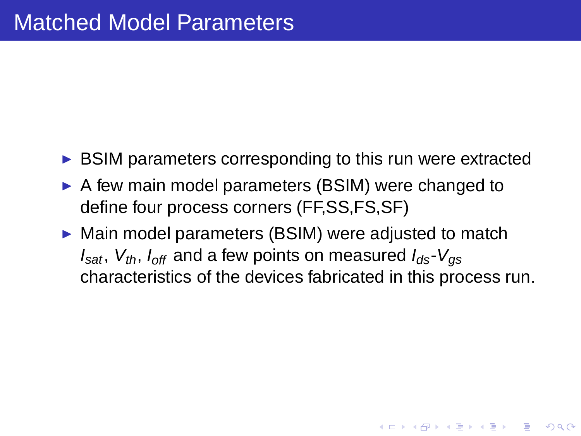- ► BSIM parameters corresponding to this run were extracted
- ▶ A few main model parameters (BSIM) were changed to define four process corners (FF,SS,FS,SF)
- ► Main model parameters (BSIM) were adjusted to match  $I_{\text{sat}}$ ,  $V_{th}$ ,  $I_{\text{off}}$  and a few points on measured  $I_{\text{ds}}$ - $V_{\text{gs}}$ characteristics of the devices fabricated in this process run.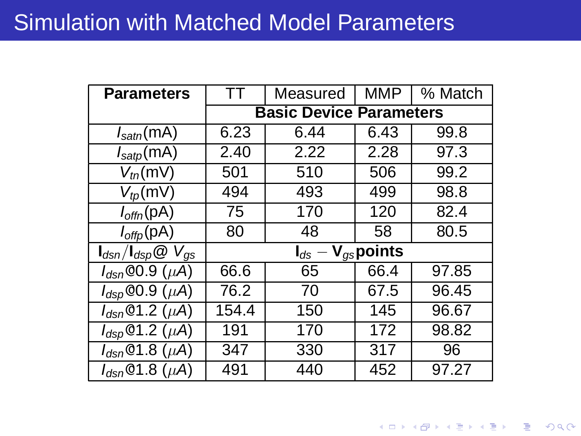| <b>Parameters</b>                                | TТ                             | Measured | <b>MMP</b> | % Match |  |
|--------------------------------------------------|--------------------------------|----------|------------|---------|--|
|                                                  | <b>Basic Device Parameters</b> |          |            |         |  |
| $I_{\text{satn}}(\text{mA})$                     | 6.23                           | 6.44     | 6.43       | 99.8    |  |
| $I_{\text{satp}}(\text{mA})$                     | 2.40                           | 2.22     | 2.28       | 97.3    |  |
| $V_{tn}(mV)$                                     | 501                            | 510      | 506        | 99.2    |  |
| $V_{tp}(mV)$                                     | 494                            | 493      | 499        | 98.8    |  |
| $I_{offn}(pA)$                                   | 75                             | 170      | 120        | 82.4    |  |
| $I_{\text{offp}}(\text{pA})$                     | 80                             | 48       | 58         | 80.5    |  |
| $I_{dsn}/I_{dsp}$ $\overline{\mathbb{Q} V_{qs}}$ | $I_{ds} - V_{gs}$ points       |          |            |         |  |
| $I_{dsn}$ @0.9 ( $\mu$ A)                        | 66.6                           | 65       | 66.4       | 97.85   |  |
| $I_{dsp}$ @0.9 ( $\mu$ A)                        | 76.2                           | 70       | 67.5       | 96.45   |  |
| $I_{dsn}$ @1.2 ( $\mu$ A)                        | 154.4                          | 150      | 145        | 96.67   |  |
| $I_{dsp}$ @1.2 ( $\mu$ A)                        | 191                            | 170      | 172        | 98.82   |  |
| $I_{dsn}$ @1.8 ( $\mu$ A)                        | 347                            | 330      | 317        | 96      |  |
| $I_{dsn}$ @1.8 ( $\mu$ A)                        | 491                            | 440      | 452        | 97.27   |  |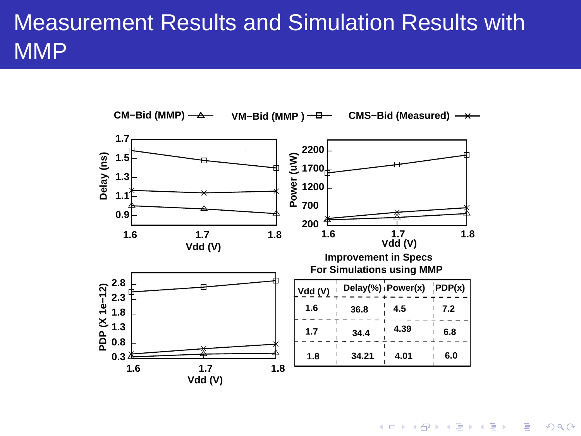# Measurement Results and Simulation Results with **MMP**



 $\left\{ \begin{array}{ccc} \square & \rightarrow & \left\langle \bigoplus \right. \right. & \rightarrow & \left\langle \biguplus \right. \right. & \rightarrow & \left\langle \biguplus \right. \right. \end{array}$  $299$ Þ